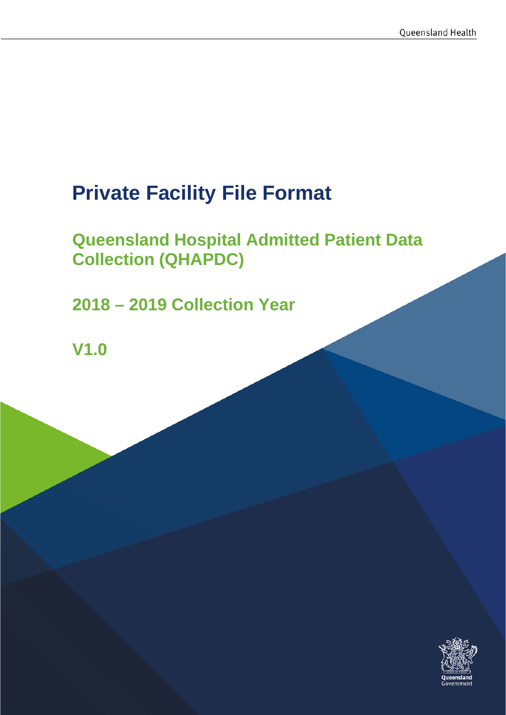# **Private Facility File Format**

# **Queensland Hospital Admitted Patient Data Collection (QHAPDC)**

**2018 – 2019 Collection Year**

**V1.0**

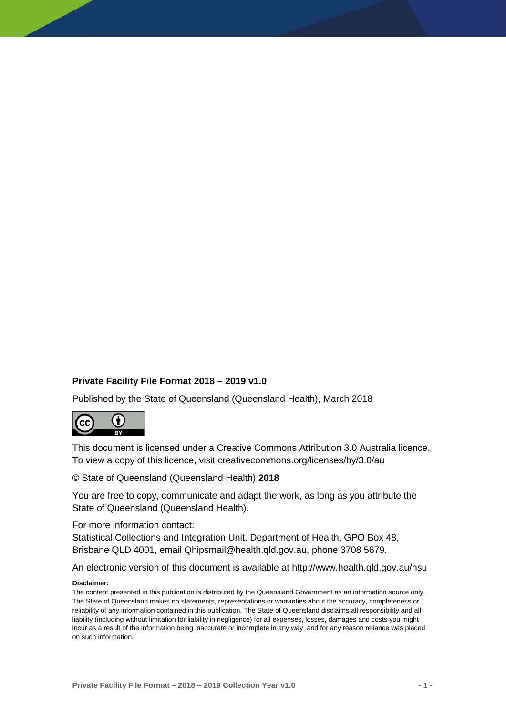#### **Private Facility File Format 2018 – 2019 v1.0**

Published by the State of Queensland (Queensland Health), March 2018



This document is licensed under a Creative Commons Attribution 3.0 Australia licence. To view a copy of this licence, visit creativecommons.org/licenses/by/3.0/au

© State of Queensland (Queensland Health) **2018**

You are free to copy, communicate and adapt the work, as long as you attribute the State of Queensland (Queensland Health).

For more information contact:

Statistical Collections and Integration Unit, Department of Health, GPO Box 48, Brisbane QLD 4001, email Qhipsmail@health.qld.gov.au, phone 3708 5679.

An electronic version of this document is available at http://www.health.qld.gov.au/hsu

#### **Disclaimer:**

The content presented in this publication is distributed by the Queensland Government as an information source only. The State of Queensland makes no statements, representations or warranties about the accuracy, completeness or reliability of any information contained in this publication. The State of Queensland disclaims all responsibility and all liability (including without limitation for liability in negligence) for all expenses, losses, damages and costs you might incur as a result of the information being inaccurate or incomplete in any way, and for any reason reliance was placed on such information.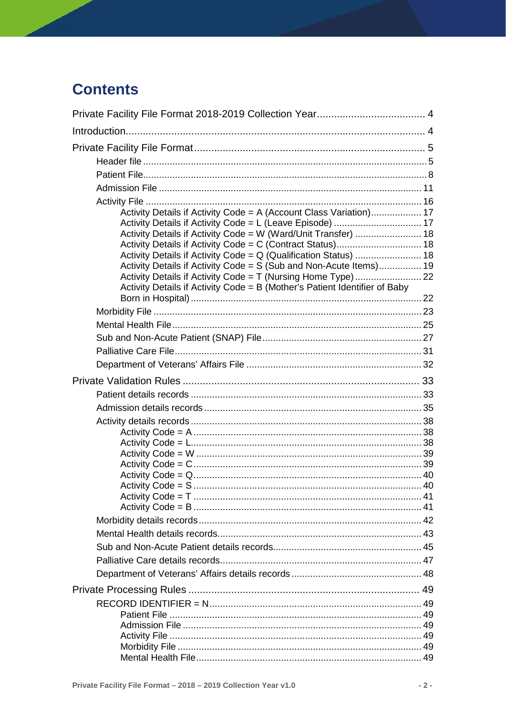# **Contents**

| Activity Details if Activity Code = A (Account Class Variation) 17         |  |
|----------------------------------------------------------------------------|--|
|                                                                            |  |
| Activity Details if Activity Code = W (Ward/Unit Transfer)  18             |  |
|                                                                            |  |
| Activity Details if Activity Code = S (Sub and Non-Acute Items) 19         |  |
|                                                                            |  |
| Activity Details if Activity Code = B (Mother's Patient Identifier of Baby |  |
|                                                                            |  |
|                                                                            |  |
|                                                                            |  |
|                                                                            |  |
|                                                                            |  |
|                                                                            |  |
|                                                                            |  |
|                                                                            |  |
|                                                                            |  |
|                                                                            |  |
|                                                                            |  |
|                                                                            |  |
|                                                                            |  |
|                                                                            |  |
|                                                                            |  |
|                                                                            |  |
|                                                                            |  |
|                                                                            |  |
|                                                                            |  |
|                                                                            |  |
|                                                                            |  |
|                                                                            |  |
|                                                                            |  |
|                                                                            |  |
|                                                                            |  |
|                                                                            |  |
|                                                                            |  |
|                                                                            |  |
|                                                                            |  |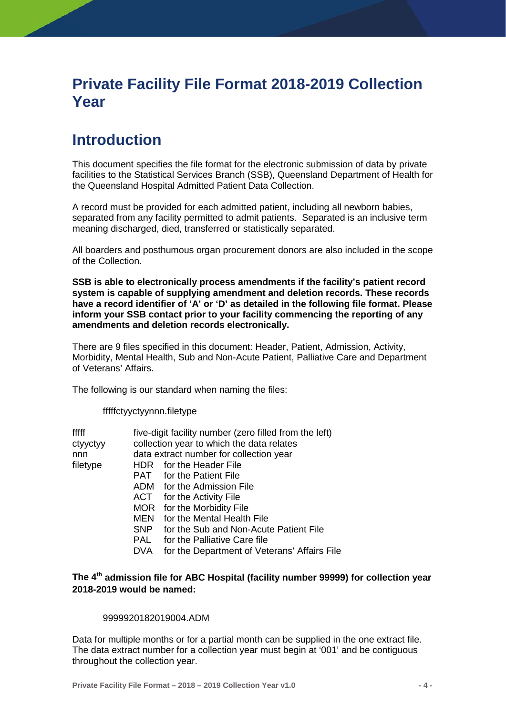# <span id="page-4-0"></span>**Private Facility File Format 2018-2019 Collection Year**

# <span id="page-4-1"></span>**Introduction**

This document specifies the file format for the electronic submission of data by private facilities to the Statistical Services Branch (SSB), Queensland Department of Health for the Queensland Hospital Admitted Patient Data Collection.

A record must be provided for each admitted patient, including all newborn babies, separated from any facility permitted to admit patients. Separated is an inclusive term meaning discharged, died, transferred or statistically separated.

All boarders and posthumous organ procurement donors are also included in the scope of the Collection.

**SSB is able to electronically process amendments if the facility's patient record system is capable of supplying amendment and deletion records. These records have a record identifier of 'A' or 'D' as detailed in the following file format. Please inform your SSB contact prior to your facility commencing the reporting of any amendments and deletion records electronically.**

There are 9 files specified in this document: Header, Patient, Admission, Activity, Morbidity, Mental Health, Sub and Non-Acute Patient, Palliative Care and Department of Veterans' Affairs.

The following is our standard when naming the files:

fffffctyyctyynnn.filetype

| fffff    |            | five-digit facility number (zero filled from the left) |  |  |  |
|----------|------------|--------------------------------------------------------|--|--|--|
| ctyyctyy |            | collection year to which the data relates              |  |  |  |
| nnn      |            | data extract number for collection year                |  |  |  |
| filetype |            | HDR for the Header File                                |  |  |  |
|          |            | <b>PAT</b> for the Patient File                        |  |  |  |
|          |            | ADM for the Admission File                             |  |  |  |
|          |            | ACT for the Activity File                              |  |  |  |
|          |            | MOR for the Morbidity File                             |  |  |  |
|          | MEN        | for the Mental Health File                             |  |  |  |
|          | SNP        | for the Sub and Non-Acute Patient File                 |  |  |  |
|          | <b>PAL</b> | for the Palliative Care file                           |  |  |  |
|          | DVA        | for the Department of Veterans' Affairs File           |  |  |  |
|          |            |                                                        |  |  |  |

#### **The 4th admission file for ABC Hospital (facility number 99999) for collection year 2018-2019 would be named:**

#### 9999920182019004.ADM

Data for multiple months or for a partial month can be supplied in the one extract file. The data extract number for a collection year must begin at '001' and be contiguous throughout the collection year.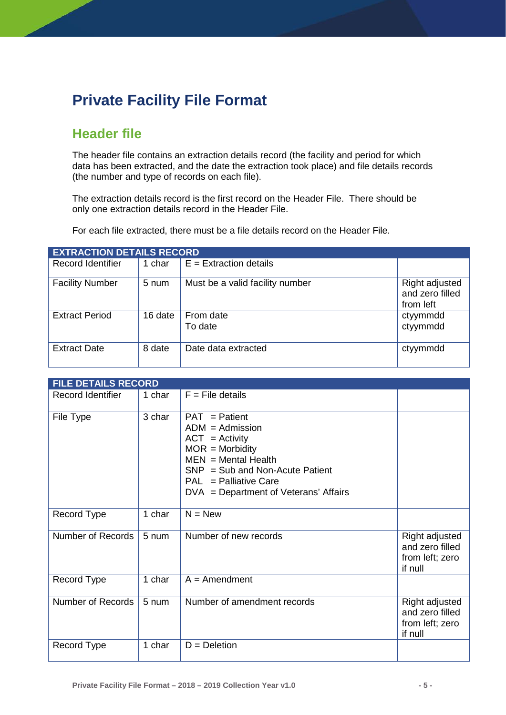# <span id="page-5-0"></span>**Private Facility File Format**

## <span id="page-5-1"></span>**Header file**

The header file contains an extraction details record (the facility and period for which data has been extracted, and the date the extraction took place) and file details records (the number and type of records on each file).

The extraction details record is the first record on the Header File. There should be only one extraction details record in the Header File.

For each file extracted, there must be a file details record on the Header File.

| <b>EXTRACTION DETAILS RECORD</b> |         |                                 |                                                |
|----------------------------------|---------|---------------------------------|------------------------------------------------|
| <b>Record Identifier</b>         | 1 char  | $E =$ Extraction details        |                                                |
| <b>Facility Number</b>           | 5 num   | Must be a valid facility number | Right adjusted<br>and zero filled<br>from left |
| <b>Extract Period</b>            | 16 date | From date<br>To date            | ctyymmdd<br>ctyymmdd                           |
| <b>Extract Date</b>              | 8 date  | Date data extracted             | ctyymmdd                                       |

| <b>FILE DETAILS RECORD</b> |        |                                                                                                                                                                                                                 |                                                                 |
|----------------------------|--------|-----------------------------------------------------------------------------------------------------------------------------------------------------------------------------------------------------------------|-----------------------------------------------------------------|
| <b>Record Identifier</b>   | 1 char | $F =$ File details                                                                                                                                                                                              |                                                                 |
| File Type                  | 3 char | $PAT =$ Patient<br>$ADM =$ Admission<br>$ACT = Activity$<br>$MOR = Morbidity$<br>$MEN = Mental Health$<br>$SNP = Sub$ and Non-Acute Patient<br>$PAL = Palliative Care$<br>DVA = Department of Veterans' Affairs |                                                                 |
| Record Type                | 1 char | $N = New$                                                                                                                                                                                                       |                                                                 |
| Number of Records          | 5 num  | Number of new records                                                                                                                                                                                           | Right adjusted<br>and zero filled<br>from left; zero<br>if null |
| Record Type                | 1 char | $A =$ Amendment                                                                                                                                                                                                 |                                                                 |
| Number of Records          | 5 num  | Number of amendment records                                                                                                                                                                                     | Right adjusted<br>and zero filled<br>from left; zero<br>if null |
| Record Type                | 1 char | $D = Deletion$                                                                                                                                                                                                  |                                                                 |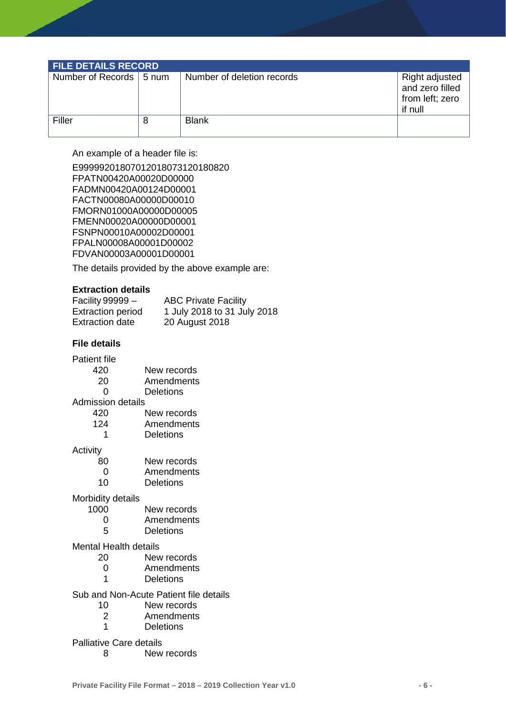| <b>FILE DETAILS RECORD</b> |  |                            |                                                                 |  |
|----------------------------|--|----------------------------|-----------------------------------------------------------------|--|
| Number of Records   5 num  |  | Number of deletion records | Right adjusted<br>and zero filled<br>from left; zero<br>if null |  |
| Filler                     |  | <b>Blank</b>               |                                                                 |  |

An example of a header file is:

E99999201807012018073120180820 FPATN00420A00020D00000 FADMN00420A00124D00001 FACTN00080A00000D00010 FMORN01000A00000D00005 FMENN00020A00000D00001 FSNPN00010A00002D00001 FPALN00008A00001D00002 FDVAN00003A00001D00001

The details provided by the above example are:

#### **Extraction details**

| Facility 99999 $-$       | <b>ABC Private Facility</b> |
|--------------------------|-----------------------------|
| <b>Extraction period</b> | 1 July 2018 to 31 July 2018 |
| <b>Extraction date</b>   | 20 August 2018              |

#### **File details**

Patient file

| 420 | New records |
|-----|-------------|
| 20  | Amendments  |

- 0 Deletions
- Admission details

| 420 | New records |
|-----|-------------|
| 124 | Amendments  |
| 1   | Deletions   |

Activity

| 80       | New records |
|----------|-------------|
| $\Omega$ | Amendments  |

10 Deletions

# Morbidity details<br>1000

| 1000 |  | New records |
|------|--|-------------|
|      |  |             |

- 0 Amendments<br>5 Deletions
- **Deletions**

# Mental Health details<br>20 New

- 20 New records<br>0 Amendments
- 
- 0 Amendments<br>1 Deletions **Deletions**

Sub and Non-Acute Patient file details

- 10 New records
- 2 Amendments
- 1 Deletions

Palliative Care details

8 New records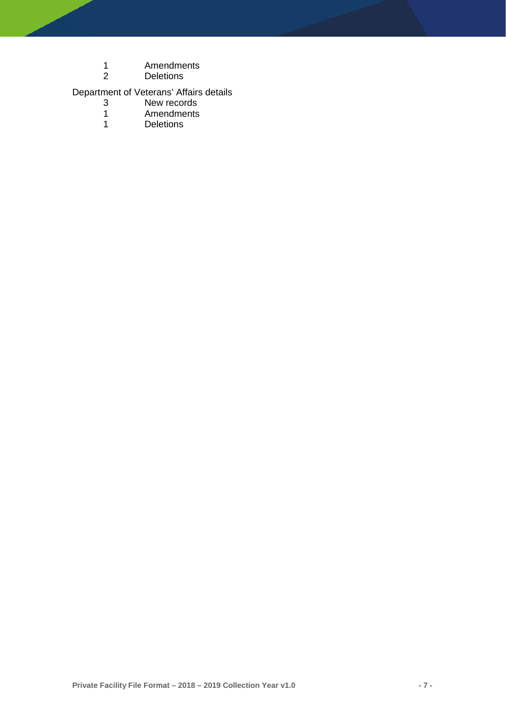- 1 Amendments<br>2 Deletions
- **Deletions**

# Department of Veterans' Affairs details

- 3 New records<br>1 Amendments
- 1 Amendments<br>1 Deletions
- <span id="page-7-0"></span>**Deletions**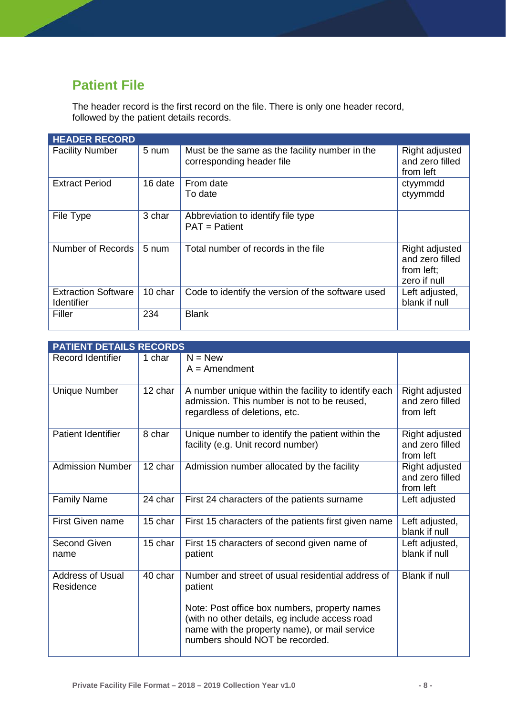# **Patient File**

The header record is the first record on the file. There is only one header record, followed by the patient details records.

| <b>HEADER RECORD</b>                            |                 |                                                                             |                                                                 |
|-------------------------------------------------|-----------------|-----------------------------------------------------------------------------|-----------------------------------------------------------------|
| <b>Facility Number</b>                          | 5 num           | Must be the same as the facility number in the<br>corresponding header file | Right adjusted<br>and zero filled<br>from left                  |
| <b>Extract Period</b>                           | 16 date         | From date<br>To date                                                        | ctyymmdd<br>ctyymmdd                                            |
| File Type                                       | 3 char          | Abbreviation to identify file type<br>$PAT =$ Patient                       |                                                                 |
| Number of Records                               | $5 \text{ num}$ | Total number of records in the file                                         | Right adjusted<br>and zero filled<br>from left;<br>zero if null |
| <b>Extraction Software</b><br><b>Identifier</b> | 10 char         | Code to identify the version of the software used                           | Left adjusted,<br>blank if null                                 |
| Filler                                          | 234             | <b>Blank</b>                                                                |                                                                 |

| <b>PATIENT DETAILS RECORDS</b> |                                                                                                                                                                                                                                                     |                                                |
|--------------------------------|-----------------------------------------------------------------------------------------------------------------------------------------------------------------------------------------------------------------------------------------------------|------------------------------------------------|
| 1 char                         | $N = New$<br>$A =$ Amendment                                                                                                                                                                                                                        |                                                |
| 12 char                        | A number unique within the facility to identify each<br>admission. This number is not to be reused.<br>regardless of deletions, etc.                                                                                                                | Right adjusted<br>and zero filled<br>from left |
| 8 char                         | Unique number to identify the patient within the<br>facility (e.g. Unit record number)                                                                                                                                                              | Right adjusted<br>and zero filled<br>from left |
| 12 char                        | Admission number allocated by the facility                                                                                                                                                                                                          | Right adjusted<br>and zero filled<br>from left |
| 24 char                        | First 24 characters of the patients surname                                                                                                                                                                                                         | Left adjusted                                  |
| 15 char                        | First 15 characters of the patients first given name                                                                                                                                                                                                | Left adjusted,<br>blank if null                |
| 15 char                        | First 15 characters of second given name of<br>patient                                                                                                                                                                                              | Left adjusted,<br>blank if null                |
| 40 char                        | Number and street of usual residential address of<br>patient<br>Note: Post office box numbers, property names<br>(with no other details, eg include access road<br>name with the property name), or mail service<br>numbers should NOT be recorded. | <b>Blank if null</b>                           |
|                                |                                                                                                                                                                                                                                                     |                                                |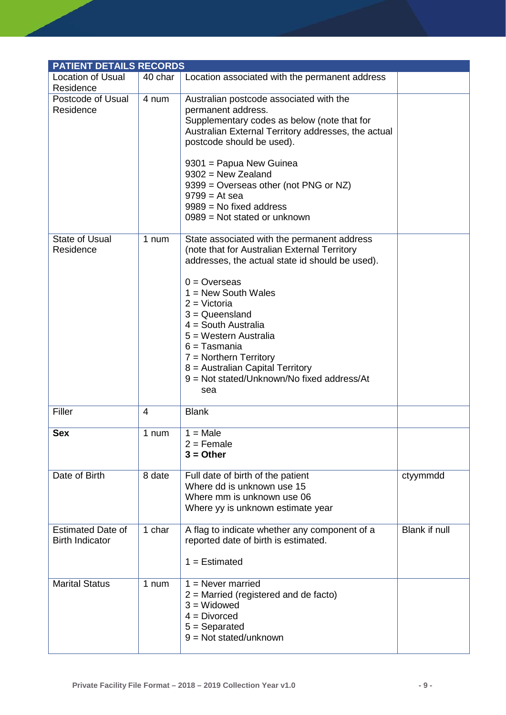| <b>PATIENT DETAILS RECORDS</b>                     |         |                                                                                                                                                                                                                                                                                                                                                                                                                          |               |  |
|----------------------------------------------------|---------|--------------------------------------------------------------------------------------------------------------------------------------------------------------------------------------------------------------------------------------------------------------------------------------------------------------------------------------------------------------------------------------------------------------------------|---------------|--|
| <b>Location of Usual</b><br>Residence              | 40 char | Location associated with the permanent address                                                                                                                                                                                                                                                                                                                                                                           |               |  |
| Postcode of Usual<br>Residence                     | 4 num   | Australian postcode associated with the<br>permanent address.<br>Supplementary codes as below (note that for<br>Australian External Territory addresses, the actual<br>postcode should be used).<br>9301 = Papua New Guinea<br>$9302$ = New Zealand<br>9399 = Overseas other (not PNG or NZ)<br>$9799 = At sea$<br>$9989$ = No fixed address<br>$0989$ = Not stated or unknown                                           |               |  |
| <b>State of Usual</b><br>Residence                 | 1 num   | State associated with the permanent address<br>(note that for Australian External Territory<br>addresses, the actual state id should be used).<br>$0 =$ Overseas<br>$1 = New South Wales$<br>$2 = Victoria$<br>$3 =$ Queensland<br>$4 =$ South Australia<br>5 = Western Australia<br>$6 =$ Tasmania<br>$7 =$ Northern Territory<br>8 = Australian Capital Territory<br>9 = Not stated/Unknown/No fixed address/At<br>sea |               |  |
| Filler                                             | 4       | <b>Blank</b>                                                                                                                                                                                                                                                                                                                                                                                                             |               |  |
| <b>Sex</b>                                         | 1 num   | $1 = Male$<br>$2 =$ Female<br>$3 = Other$                                                                                                                                                                                                                                                                                                                                                                                |               |  |
| Date of Birth                                      | 8 date  | Full date of birth of the patient<br>Where dd is unknown use 15<br>Where mm is unknown use 06<br>Where yy is unknown estimate year                                                                                                                                                                                                                                                                                       | ctyymmdd      |  |
| <b>Estimated Date of</b><br><b>Birth Indicator</b> | 1 char  | A flag to indicate whether any component of a<br>reported date of birth is estimated.<br>$1 =$ Estimated                                                                                                                                                                                                                                                                                                                 | Blank if null |  |
| <b>Marital Status</b>                              | 1 num   | $1 =$ Never married<br>$2$ = Married (registered and de facto)<br>$3 = Widowed$<br>$4 = Divorced$<br>$5 =$ Separated<br>$9 = Not stated/unknown$                                                                                                                                                                                                                                                                         |               |  |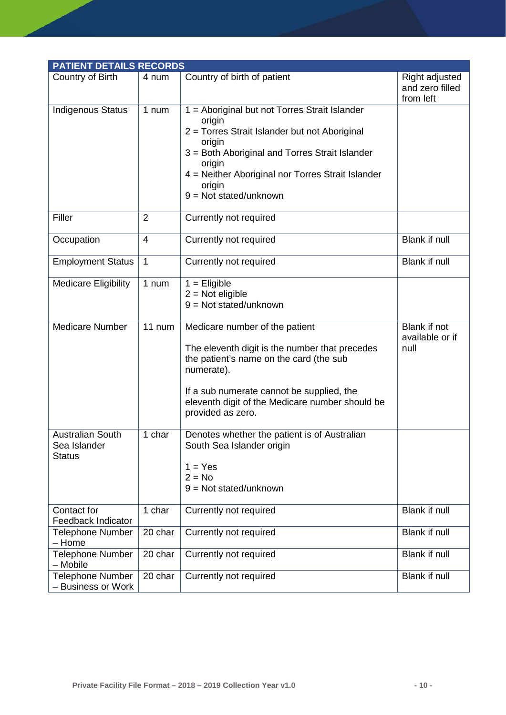<span id="page-10-0"></span>

| <b>PATIENT DETAILS RECORDS</b>                           |                |                                                                                                                                                                                                                                                                           |                                                |  |
|----------------------------------------------------------|----------------|---------------------------------------------------------------------------------------------------------------------------------------------------------------------------------------------------------------------------------------------------------------------------|------------------------------------------------|--|
| Country of Birth                                         | 4 num          | Country of birth of patient                                                                                                                                                                                                                                               | Right adjusted<br>and zero filled<br>from left |  |
| <b>Indigenous Status</b>                                 | 1 num          | 1 = Aboriginal but not Torres Strait Islander<br>origin<br>2 = Torres Strait Islander but not Aboriginal<br>origin<br>3 = Both Aboriginal and Torres Strait Islander<br>origin<br>4 = Neither Aboriginal nor Torres Strait Islander<br>origin<br>$9 = Not stated/unknown$ |                                                |  |
| Filler                                                   | $\overline{2}$ | Currently not required                                                                                                                                                                                                                                                    |                                                |  |
| Occupation                                               | $\overline{4}$ | Currently not required                                                                                                                                                                                                                                                    | Blank if null                                  |  |
| <b>Employment Status</b>                                 | $\mathbf{1}$   | Currently not required                                                                                                                                                                                                                                                    | <b>Blank if null</b>                           |  |
| <b>Medicare Eligibility</b>                              | 1 num          | $1 =$ Eligible<br>$2 = Not$ eligible<br>$9 = Not stated/unknown$                                                                                                                                                                                                          |                                                |  |
| <b>Medicare Number</b>                                   | 11 num         | Medicare number of the patient<br>The eleventh digit is the number that precedes<br>the patient's name on the card (the sub<br>numerate).<br>If a sub numerate cannot be supplied, the<br>eleventh digit of the Medicare number should be<br>provided as zero.            | Blank if not<br>available or if<br>null        |  |
| <b>Australian South</b><br>Sea Islander<br><b>Status</b> | 1 char         | Denotes whether the patient is of Australian<br>South Sea Islander origin<br>$1 = Yes$<br>$2 = No$<br>$9 = Not stated/unknown$                                                                                                                                            |                                                |  |
| Contact for<br><b>Feedback Indicator</b>                 | 1 char         | Currently not required                                                                                                                                                                                                                                                    | Blank if null                                  |  |
| <b>Telephone Number</b><br>- Home                        | 20 char        | Currently not required                                                                                                                                                                                                                                                    | <b>Blank if null</b>                           |  |
| <b>Telephone Number</b><br>- Mobile                      | 20 char        | Currently not required                                                                                                                                                                                                                                                    | Blank if null                                  |  |
| <b>Telephone Number</b><br>- Business or Work            | 20 char        | Currently not required                                                                                                                                                                                                                                                    | Blank if null                                  |  |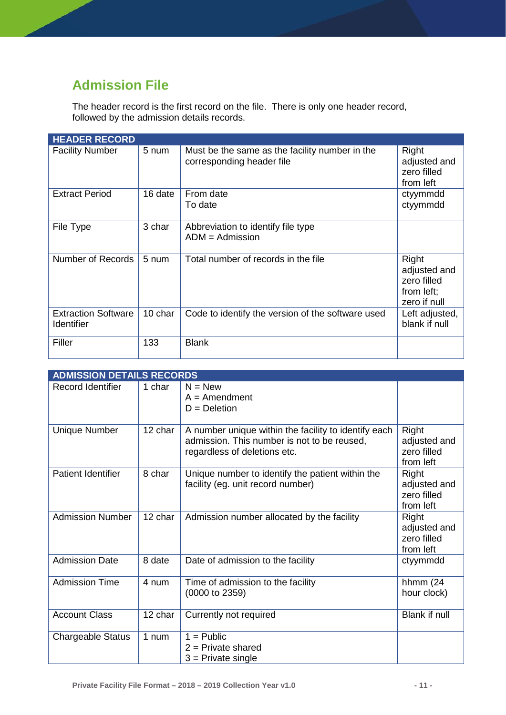# **Admission File**

The header record is the first record on the file. There is only one header record, followed by the admission details records.

| <b>HEADER RECORD</b>                     |                 |                                                                             |                                                                    |
|------------------------------------------|-----------------|-----------------------------------------------------------------------------|--------------------------------------------------------------------|
| <b>Facility Number</b>                   | 5 num           | Must be the same as the facility number in the<br>corresponding header file | Right<br>adjusted and<br>zero filled<br>from left                  |
| <b>Extract Period</b>                    | 16 date         | From date<br>To date                                                        | ctyymmdd<br>ctyymmdd                                               |
| File Type                                | 3 char          | Abbreviation to identify file type<br>$ADM =$ Admission                     |                                                                    |
| Number of Records                        | $5 \text{ num}$ | Total number of records in the file                                         | Right<br>adjusted and<br>zero filled<br>from left;<br>zero if null |
| <b>Extraction Software</b><br>Identifier | 10 char         | Code to identify the version of the software used                           | Left adjusted,<br>blank if null                                    |
| Filler                                   | 133             | <b>Blank</b>                                                                |                                                                    |

| <b>ADMISSION DETAILS RECORDS</b> |         |                                                                                                                                     |                                                   |
|----------------------------------|---------|-------------------------------------------------------------------------------------------------------------------------------------|---------------------------------------------------|
| Record Identifier                | 1 char  | $N = New$<br>$A =$ Amendment<br>$D = Deletion$                                                                                      |                                                   |
| <b>Unique Number</b>             | 12 char | A number unique within the facility to identify each<br>admission. This number is not to be reused,<br>regardless of deletions etc. | Right<br>adjusted and<br>zero filled<br>from left |
| <b>Patient Identifier</b>        | 8 char  | Unique number to identify the patient within the<br>facility (eg. unit record number)                                               | Right<br>adjusted and<br>zero filled<br>from left |
| <b>Admission Number</b>          | 12 char | Admission number allocated by the facility                                                                                          | Right<br>adjusted and<br>zero filled<br>from left |
| <b>Admission Date</b>            | 8 date  | Date of admission to the facility                                                                                                   | ctyymmdd                                          |
| <b>Admission Time</b>            | 4 num   | Time of admission to the facility<br>(0000 to 2359)                                                                                 | hhmm $(24)$<br>hour clock)                        |
| <b>Account Class</b>             | 12 char | Currently not required                                                                                                              | Blank if null                                     |
| <b>Chargeable Status</b>         | 1 num   | $1 =$ Public<br>$2$ = Private shared<br>$3$ = Private single                                                                        |                                                   |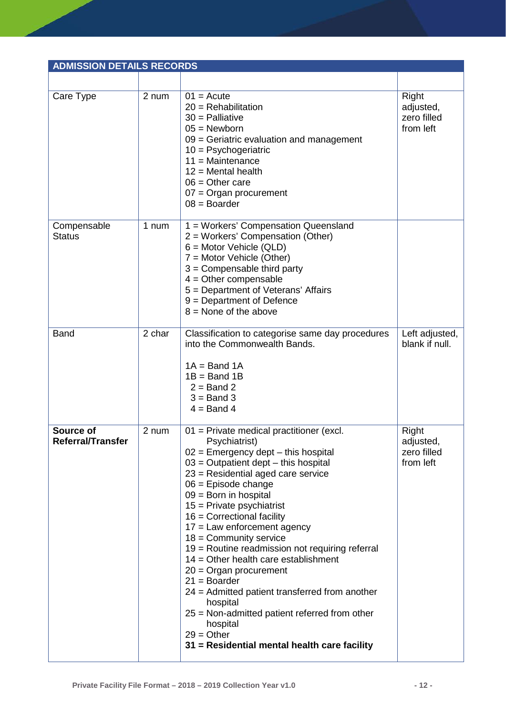| <b>ADMISSION DETAILS RECORDS</b>      |        |                                                                                                                                                                                                                                                                                                                                                                                                                                                                                                                                                                                                                                                                                                            |                                                |
|---------------------------------------|--------|------------------------------------------------------------------------------------------------------------------------------------------------------------------------------------------------------------------------------------------------------------------------------------------------------------------------------------------------------------------------------------------------------------------------------------------------------------------------------------------------------------------------------------------------------------------------------------------------------------------------------------------------------------------------------------------------------------|------------------------------------------------|
|                                       |        |                                                                                                                                                                                                                                                                                                                                                                                                                                                                                                                                                                                                                                                                                                            |                                                |
| Care Type                             | 2 num  | $01 = Acute$<br>$20 =$ Rehabilitation<br>$30$ = Palliative<br>$05 =$ Newborn<br>$09$ = Geriatric evaluation and management<br>$10 = \text{Psychogenic}$<br>$11 =$ Maintenance<br>$12$ = Mental health<br>$06 =$ Other care<br>$07 =$ Organ procurement<br>$08 =$ Boarder                                                                                                                                                                                                                                                                                                                                                                                                                                   | Right<br>adjusted,<br>zero filled<br>from left |
| Compensable<br><b>Status</b>          | 1 num  | 1 = Workers' Compensation Queensland<br>2 = Workers' Compensation (Other)<br>$6 =$ Motor Vehicle (QLD)<br>$7 =$ Motor Vehicle (Other)<br>$3 =$ Compensable third party<br>$4 =$ Other compensable<br>5 = Department of Veterans' Affairs<br>$9 = Department of Defense$<br>$8 =$ None of the above                                                                                                                                                                                                                                                                                                                                                                                                         |                                                |
| <b>Band</b>                           | 2 char | Classification to categorise same day procedures<br>into the Commonwealth Bands.<br>$1A = Band 1A$<br>$1B = Band 1B$<br>$2 =$ Band 2<br>$3 =$ Band 3<br>$4 =$ Band 4                                                                                                                                                                                                                                                                                                                                                                                                                                                                                                                                       | Left adjusted,<br>blank if null.               |
| Source of<br><b>Referral/Transfer</b> | 2 num  | 01 = Private medical practitioner (excl.<br>Psychiatrist)<br>$02$ = Emergency dept – this hospital<br>$03$ = Outpatient dept – this hospital<br>23 = Residential aged care service<br>$06$ = Episode change<br>$09 =$ Born in hospital<br>$15$ = Private psychiatrist<br>$16$ = Correctional facility<br>$17$ = Law enforcement agency<br>$18 =$ Community service<br>19 = Routine readmission not requiring referral<br>$14 =$ Other health care establishment<br>$20 =$ Organ procurement<br>$21 = Boarder$<br>24 = Admitted patient transferred from another<br>hospital<br>$25$ = Non-admitted patient referred from other<br>hospital<br>$29 = Other$<br>31 = Residential mental health care facility | Right<br>adjusted,<br>zero filled<br>from left |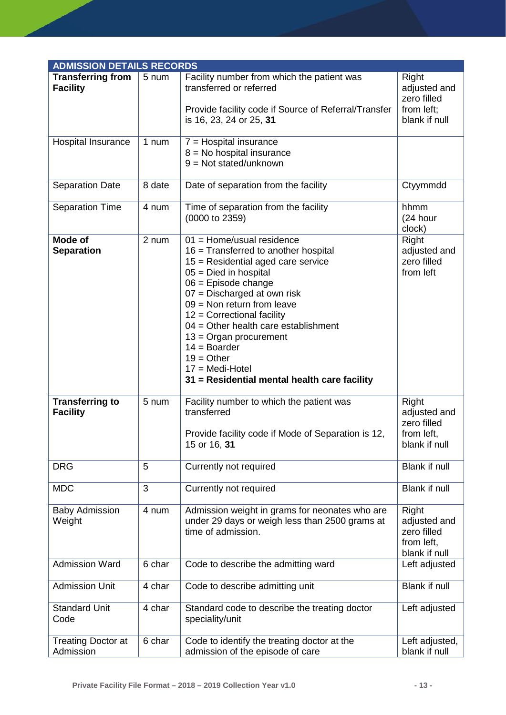| <b>ADMISSION DETAILS RECORDS</b>            |        |                                                                                                                                                                                                                                                                                                                                                                                                                                               |                                                                     |
|---------------------------------------------|--------|-----------------------------------------------------------------------------------------------------------------------------------------------------------------------------------------------------------------------------------------------------------------------------------------------------------------------------------------------------------------------------------------------------------------------------------------------|---------------------------------------------------------------------|
| <b>Transferring from</b><br><b>Facility</b> | 5 num  | Facility number from which the patient was<br>transferred or referred<br>Provide facility code if Source of Referral/Transfer<br>is 16, 23, 24 or 25, 31                                                                                                                                                                                                                                                                                      | Right<br>adjusted and<br>zero filled<br>from left;<br>blank if null |
| Hospital Insurance                          | 1 num  | $7 =$ Hospital insurance<br>$8 = No$ hospital insurance<br>$9 = Not stated/unknown$                                                                                                                                                                                                                                                                                                                                                           |                                                                     |
| <b>Separation Date</b>                      | 8 date | Date of separation from the facility                                                                                                                                                                                                                                                                                                                                                                                                          | Ctyymmdd                                                            |
| <b>Separation Time</b>                      | 4 num  | Time of separation from the facility<br>(0000 to 2359)                                                                                                                                                                                                                                                                                                                                                                                        | hhmm<br>(24 hour<br>clock)                                          |
| Mode of<br><b>Separation</b>                | 2 num  | $01 =$ Home/usual residence<br>$16$ = Transferred to another hospital<br>$15$ = Residential aged care service<br>$05 =$ Died in hospital<br>$06$ = Episode change<br>07 = Discharged at own risk<br>$09$ = Non return from leave<br>$12$ = Correctional facility<br>$04 =$ Other health care establishment<br>$13 =$ Organ procurement<br>$14 = Boarder$<br>$19 = Other$<br>$17 = Medi-Hotel$<br>31 = Residential mental health care facility | Right<br>adjusted and<br>zero filled<br>from left                   |
| <b>Transferring to</b><br><b>Facility</b>   | 5 num  | Facility number to which the patient was<br>transferred<br>Provide facility code if Mode of Separation is 12,<br>15 or 16, 31                                                                                                                                                                                                                                                                                                                 | Right<br>adjusted and<br>zero filled<br>from left,<br>blank if null |
| <b>DRG</b>                                  | 5      | Currently not required                                                                                                                                                                                                                                                                                                                                                                                                                        | <b>Blank if null</b>                                                |
| <b>MDC</b>                                  | 3      | Currently not required                                                                                                                                                                                                                                                                                                                                                                                                                        | Blank if null                                                       |
| <b>Baby Admission</b><br>Weight             | 4 num  | Admission weight in grams for neonates who are<br>under 29 days or weigh less than 2500 grams at<br>time of admission.                                                                                                                                                                                                                                                                                                                        | Right<br>adjusted and<br>zero filled<br>from left,<br>blank if null |
| <b>Admission Ward</b>                       | 6 char | Code to describe the admitting ward                                                                                                                                                                                                                                                                                                                                                                                                           | Left adjusted                                                       |
| <b>Admission Unit</b>                       | 4 char | Code to describe admitting unit                                                                                                                                                                                                                                                                                                                                                                                                               | Blank if null                                                       |
| <b>Standard Unit</b><br>Code                | 4 char | Standard code to describe the treating doctor<br>speciality/unit                                                                                                                                                                                                                                                                                                                                                                              | Left adjusted                                                       |
| <b>Treating Doctor at</b><br>Admission      | 6 char | Code to identify the treating doctor at the<br>admission of the episode of care                                                                                                                                                                                                                                                                                                                                                               | Left adjusted,<br>blank if null                                     |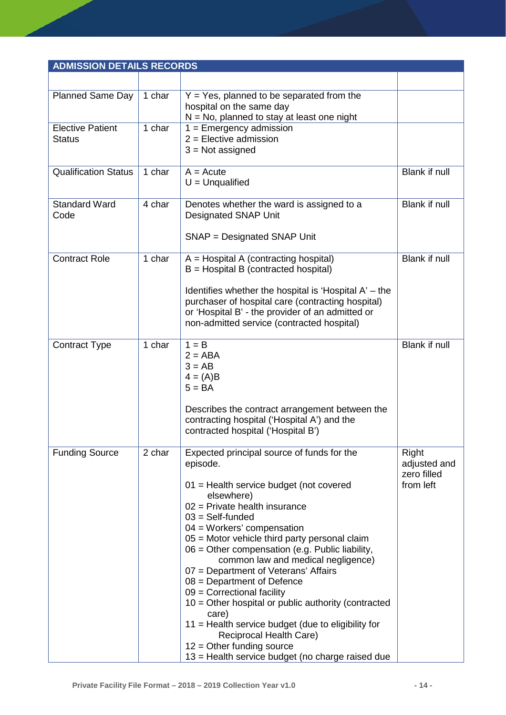| <b>ADMISSION DETAILS RECORDS</b>         |        |                                                                                                                                                                                                                                                                                                                                                                                                                                                                                                                                                                                                                                                                                                  |                                                   |
|------------------------------------------|--------|--------------------------------------------------------------------------------------------------------------------------------------------------------------------------------------------------------------------------------------------------------------------------------------------------------------------------------------------------------------------------------------------------------------------------------------------------------------------------------------------------------------------------------------------------------------------------------------------------------------------------------------------------------------------------------------------------|---------------------------------------------------|
|                                          |        |                                                                                                                                                                                                                                                                                                                                                                                                                                                                                                                                                                                                                                                                                                  |                                                   |
| <b>Planned Same Day</b>                  | 1 char | $Y = Yes$ , planned to be separated from the<br>hospital on the same day<br>$N = No$ , planned to stay at least one night                                                                                                                                                                                                                                                                                                                                                                                                                                                                                                                                                                        |                                                   |
| <b>Elective Patient</b><br><b>Status</b> | 1 char | $1 =$ Emergency admission<br>$2$ = Elective admission<br>$3 = Not assigned$                                                                                                                                                                                                                                                                                                                                                                                                                                                                                                                                                                                                                      |                                                   |
| <b>Qualification Status</b>              | 1 char | $A = Acute$<br>$U =$ Unqualified                                                                                                                                                                                                                                                                                                                                                                                                                                                                                                                                                                                                                                                                 | <b>Blank if null</b>                              |
| <b>Standard Ward</b><br>Code             | 4 char | Denotes whether the ward is assigned to a<br><b>Designated SNAP Unit</b><br>SNAP = Designated SNAP Unit                                                                                                                                                                                                                                                                                                                                                                                                                                                                                                                                                                                          | <b>Blank if null</b>                              |
| <b>Contract Role</b>                     | 1 char | $A = Hospital A (contracting hospital)$<br>$B =$ Hospital B (contracted hospital)<br>Identifies whether the hospital is 'Hospital $A'$ – the<br>purchaser of hospital care (contracting hospital)<br>or 'Hospital B' - the provider of an admitted or<br>non-admitted service (contracted hospital)                                                                                                                                                                                                                                                                                                                                                                                              | Blank if null                                     |
| <b>Contract Type</b>                     | 1 char | $1 = B$<br>$2 = ABA$<br>$3 = AB$<br>$4 = (A)B$<br>$5 = BA$<br>Describes the contract arrangement between the<br>contracting hospital ('Hospital A') and the<br>contracted hospital ('Hospital B')                                                                                                                                                                                                                                                                                                                                                                                                                                                                                                | <b>Blank if null</b>                              |
| <b>Funding Source</b>                    | 2 char | Expected principal source of funds for the<br>episode.<br>01 = Health service budget (not covered<br>elsewhere)<br>$02$ = Private health insurance<br>$03 = Self$ -funded<br>$04 = W$ orkers' compensation<br>05 = Motor vehicle third party personal claim<br>06 = Other compensation (e.g. Public liability,<br>common law and medical negligence)<br>07 = Department of Veterans' Affairs<br>$08 = Department of Defense$<br>$09$ = Correctional facility<br>10 = Other hospital or public authority (contracted<br>care)<br>11 = Health service budget (due to eligibility for<br>Reciprocal Health Care)<br>$12 =$ Other funding source<br>13 = Health service budget (no charge raised due | Right<br>adjusted and<br>zero filled<br>from left |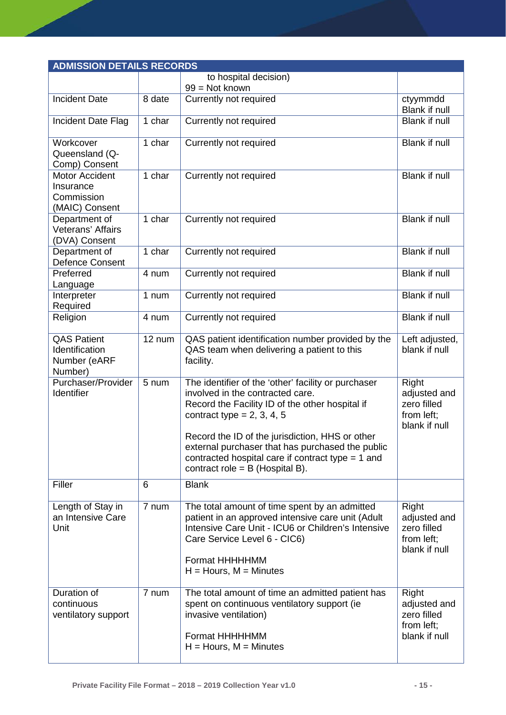| <b>ADMISSION DETAILS RECORDS</b>                                   |        |                                                                                                                                                                                                                                                                                                                                                                               |                                                                     |
|--------------------------------------------------------------------|--------|-------------------------------------------------------------------------------------------------------------------------------------------------------------------------------------------------------------------------------------------------------------------------------------------------------------------------------------------------------------------------------|---------------------------------------------------------------------|
|                                                                    |        | to hospital decision)                                                                                                                                                                                                                                                                                                                                                         |                                                                     |
|                                                                    |        | $99 = Not known$                                                                                                                                                                                                                                                                                                                                                              |                                                                     |
| <b>Incident Date</b>                                               | 8 date | Currently not required                                                                                                                                                                                                                                                                                                                                                        | ctyymmdd<br>Blank if null                                           |
| Incident Date Flag                                                 | 1 char | Currently not required                                                                                                                                                                                                                                                                                                                                                        | Blank if null                                                       |
| Workcover<br>Queensland (Q-<br>Comp) Consent                       | 1 char | Currently not required                                                                                                                                                                                                                                                                                                                                                        | <b>Blank if null</b>                                                |
| <b>Motor Accident</b><br>Insurance<br>Commission<br>(MAIC) Consent | 1 char | Currently not required                                                                                                                                                                                                                                                                                                                                                        | Blank if null                                                       |
| Department of<br>Veterans' Affairs<br>(DVA) Consent                | 1 char | Currently not required                                                                                                                                                                                                                                                                                                                                                        | <b>Blank if null</b>                                                |
| Department of<br><b>Defence Consent</b>                            | 1 char | Currently not required                                                                                                                                                                                                                                                                                                                                                        | <b>Blank if null</b>                                                |
| Preferred<br>Language                                              | 4 num  | Currently not required                                                                                                                                                                                                                                                                                                                                                        | Blank if null                                                       |
| Interpreter<br>Required                                            | 1 num  | Currently not required                                                                                                                                                                                                                                                                                                                                                        | <b>Blank if null</b>                                                |
| Religion                                                           | 4 num  | Currently not required                                                                                                                                                                                                                                                                                                                                                        | <b>Blank if null</b>                                                |
| <b>QAS Patient</b><br>Identification<br>Number (eARF<br>Number)    | 12 num | QAS patient identification number provided by the<br>QAS team when delivering a patient to this<br>facility.                                                                                                                                                                                                                                                                  | Left adjusted,<br>blank if null                                     |
| Purchaser/Provider<br>Identifier                                   | 5 num  | The identifier of the 'other' facility or purchaser<br>involved in the contracted care.<br>Record the Facility ID of the other hospital if<br>contract type = $2, 3, 4, 5$<br>Record the ID of the jurisdiction, HHS or other<br>external purchaser that has purchased the public<br>contracted hospital care if contract type $= 1$ and<br>contract role = $B$ (Hospital B). | Right<br>adjusted and<br>zero filled<br>from left;<br>blank if null |
| Filler                                                             | 6      | <b>Blank</b>                                                                                                                                                                                                                                                                                                                                                                  |                                                                     |
| Length of Stay in<br>an Intensive Care<br>Unit                     | 7 num  | The total amount of time spent by an admitted<br>patient in an approved intensive care unit (Adult<br>Intensive Care Unit - ICU6 or Children's Intensive<br>Care Service Level 6 - CIC6)<br>Format HHHHHMM<br>$H =$ Hours, M = Minutes                                                                                                                                        | Right<br>adjusted and<br>zero filled<br>from left;<br>blank if null |
| Duration of<br>continuous<br>ventilatory support                   | 7 num  | The total amount of time an admitted patient has<br>spent on continuous ventilatory support (ie<br>invasive ventilation)<br>Format HHHHHMM<br>$H =$ Hours, M = Minutes                                                                                                                                                                                                        | Right<br>adjusted and<br>zero filled<br>from left;<br>blank if null |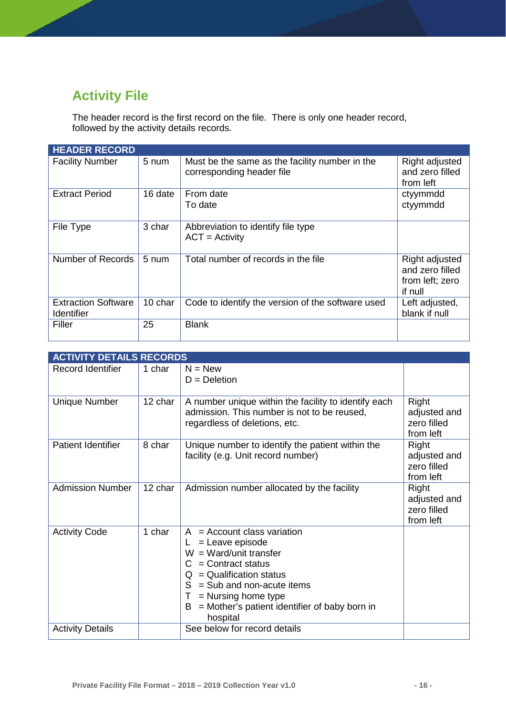# <span id="page-16-0"></span>**Activity File**

The header record is the first record on the file. There is only one header record, followed by the activity details records.

| <b>HEADER RECORD</b>                            |                 |                                                                             |                                                                 |
|-------------------------------------------------|-----------------|-----------------------------------------------------------------------------|-----------------------------------------------------------------|
| <b>Facility Number</b>                          | 5 num           | Must be the same as the facility number in the<br>corresponding header file | Right adjusted<br>and zero filled<br>from left                  |
| <b>Extract Period</b>                           | 16 date         | From date<br>To date                                                        | ctyymmdd<br>ctyymmdd                                            |
| File Type                                       | 3 char          | Abbreviation to identify file type<br>$ACT = Activity$                      |                                                                 |
| Number of Records                               | $5 \text{ num}$ | Total number of records in the file                                         | Right adjusted<br>and zero filled<br>from left; zero<br>if null |
| <b>Extraction Software</b><br><b>Identifier</b> | 10 char         | Code to identify the version of the software used                           | Left adjusted,<br>blank if null                                 |
| Filler                                          | 25              | <b>Blank</b>                                                                |                                                                 |

|                           | <b>ACTIVITY DETAILS RECORDS</b> |                                                                                                                                                                                                                                                                                    |                                                   |  |  |
|---------------------------|---------------------------------|------------------------------------------------------------------------------------------------------------------------------------------------------------------------------------------------------------------------------------------------------------------------------------|---------------------------------------------------|--|--|
| Record Identifier         | 1 char                          | $N = New$<br>$D = Deletion$                                                                                                                                                                                                                                                        |                                                   |  |  |
| <b>Unique Number</b>      | 12 char                         | A number unique within the facility to identify each<br>admission. This number is not to be reused,<br>regardless of deletions, etc.                                                                                                                                               | Right<br>adjusted and<br>zero filled<br>from left |  |  |
| <b>Patient Identifier</b> | 8 char                          | Unique number to identify the patient within the<br>facility (e.g. Unit record number)                                                                                                                                                                                             | Right<br>adjusted and<br>zero filled<br>from left |  |  |
| <b>Admission Number</b>   | 12 char                         | Admission number allocated by the facility                                                                                                                                                                                                                                         | Right<br>adjusted and<br>zero filled<br>from left |  |  |
| <b>Activity Code</b>      | 1 char                          | $A = Account class variation$<br>= Leave episode<br>L.<br>$W = Ward/unit transfer$<br>$C =$ Contract status<br>$=$ Qualification status<br>O.<br>$=$ Sub and non-acute items<br>S.<br>$=$ Nursing home type<br>Τ<br>= Mother's patient identifier of baby born in<br>В<br>hospital |                                                   |  |  |
| <b>Activity Details</b>   |                                 | See below for record details                                                                                                                                                                                                                                                       |                                                   |  |  |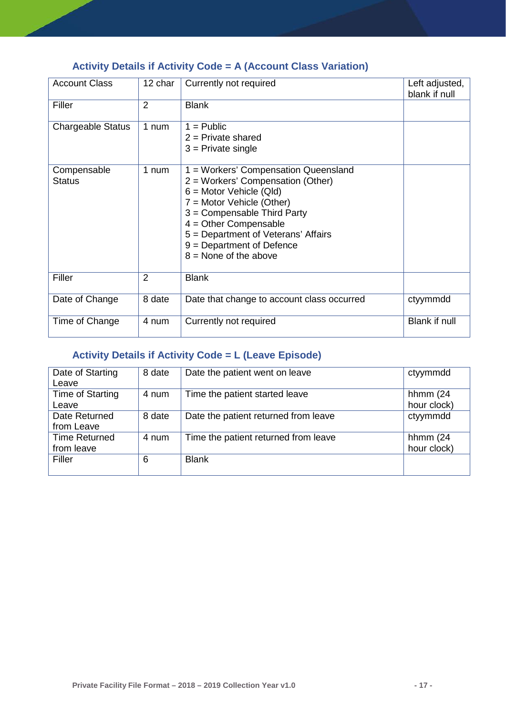### <span id="page-17-0"></span>**Activity Details if Activity Code = A (Account Class Variation)**

| <b>Account Class</b>         | 12 char        | Currently not required                                                                                                                                                                                                                                                                         | Left adjusted,<br>blank if null |
|------------------------------|----------------|------------------------------------------------------------------------------------------------------------------------------------------------------------------------------------------------------------------------------------------------------------------------------------------------|---------------------------------|
| Filler                       | $\overline{2}$ | <b>Blank</b>                                                                                                                                                                                                                                                                                   |                                 |
| <b>Chargeable Status</b>     | 1 num          | $1 =$ Public<br>$2$ = Private shared<br>$3$ = Private single                                                                                                                                                                                                                                   |                                 |
| Compensable<br><b>Status</b> | 1 num          | 1 = Workers' Compensation Queensland<br>2 = Workers' Compensation (Other)<br>$6 =$ Motor Vehicle (Qld)<br>7 = Motor Vehicle (Other)<br>3 = Compensable Third Party<br>$4 =$ Other Compensable<br>5 = Department of Veterans' Affairs<br>$9 = Department of Defense$<br>$8 =$ None of the above |                                 |
| Filler                       | $\overline{2}$ | <b>Blank</b>                                                                                                                                                                                                                                                                                   |                                 |
| Date of Change               | 8 date         | Date that change to account class occurred                                                                                                                                                                                                                                                     | ctyymmdd                        |
| Time of Change               | 4 num          | Currently not required                                                                                                                                                                                                                                                                         | Blank if null                   |

### <span id="page-17-1"></span>**Activity Details if Activity Code = L (Leave Episode)**

| Date of Starting<br>Leave          | 8 date | Date the patient went on leave       | ctyymmdd                   |
|------------------------------------|--------|--------------------------------------|----------------------------|
| Time of Starting<br>Leave          | 4 num  | Time the patient started leave       | hhmm $(24)$<br>hour clock) |
| Date Returned<br>from Leave        | 8 date | Date the patient returned from leave | ctyymmdd                   |
| <b>Time Returned</b><br>from leave | 4 num  | Time the patient returned from leave | hhmm $(24)$<br>hour clock) |
| Filler                             | 6      | <b>Blank</b>                         |                            |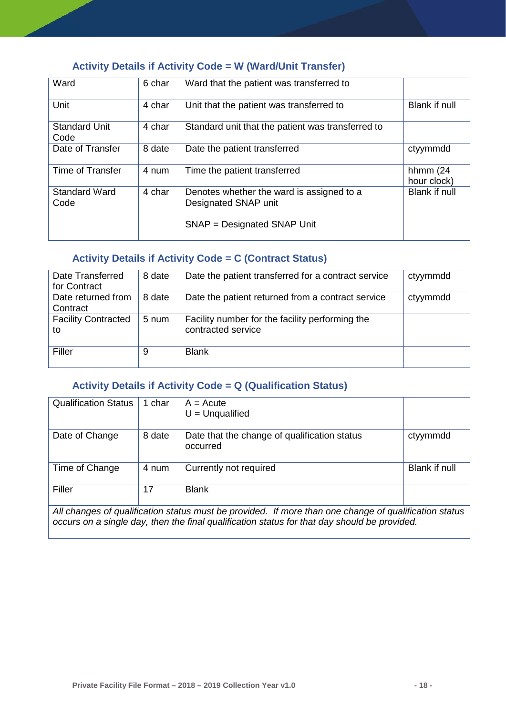### <span id="page-18-0"></span>**Activity Details if Activity Code = W (Ward/Unit Transfer)**

| Ward                         | 6 char | Ward that the patient was transferred to                          |                            |
|------------------------------|--------|-------------------------------------------------------------------|----------------------------|
| Unit                         | 4 char | Unit that the patient was transferred to                          | Blank if null              |
| <b>Standard Unit</b><br>Code | 4 char | Standard unit that the patient was transferred to                 |                            |
| Date of Transfer             | 8 date | Date the patient transferred                                      | ctyymmdd                   |
| Time of Transfer             | 4 num  | Time the patient transferred                                      | hhmm $(24)$<br>hour clock) |
| <b>Standard Ward</b><br>Code | 4 char | Denotes whether the ward is assigned to a<br>Designated SNAP unit | <b>Blank if null</b>       |
|                              |        | SNAP = Designated SNAP Unit                                       |                            |

### <span id="page-18-1"></span>**Activity Details if Activity Code = C (Contract Status)**

| Date Transferred<br>for Contract | 8 date | Date the patient transferred for a contract service                   | ctyymmdd |
|----------------------------------|--------|-----------------------------------------------------------------------|----------|
| Date returned from<br>Contract   | 8 date | Date the patient returned from a contract service                     | ctyymmdd |
| <b>Facility Contracted</b><br>to | 5 num  | Facility number for the facility performing the<br>contracted service |          |
| Filler                           | 9      | <b>Blank</b>                                                          |          |

#### <span id="page-18-2"></span>**Activity Details if Activity Code = Q (Qualification Status)**

| <b>Qualification Status</b>                                                                           | 1 char | $A = Acute$<br>$U =$ Unqualified                         |               |  |
|-------------------------------------------------------------------------------------------------------|--------|----------------------------------------------------------|---------------|--|
| Date of Change                                                                                        | 8 date | Date that the change of qualification status<br>occurred | ctyymmdd      |  |
| Time of Change                                                                                        | 4 num  | Currently not required                                   | Blank if null |  |
| Filler                                                                                                | 17     | <b>Blank</b>                                             |               |  |
| All changes of qualification status must be provided. If more than one change of qualification status |        |                                                          |               |  |

*occurs on a single day, then the final qualification status for that day should be provided.*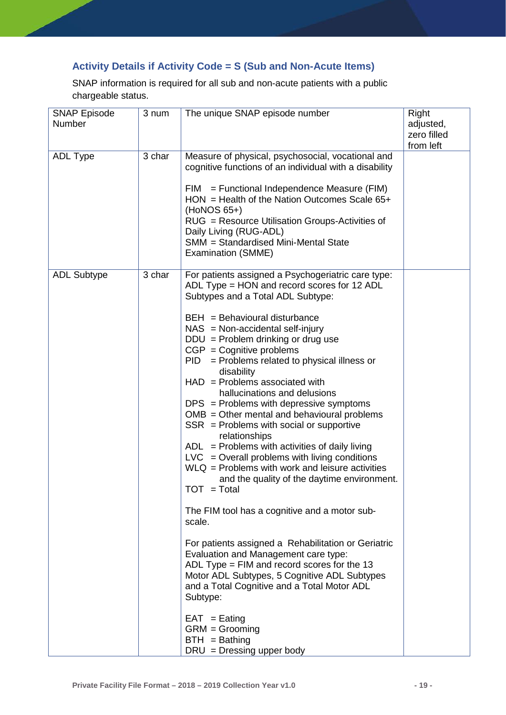### <span id="page-19-0"></span>**Activity Details if Activity Code = S (Sub and Non-Acute Items)**

SNAP information is required for all sub and non-acute patients with a public chargeable status.

| <b>SNAP Episode</b><br>Number | 3 num  | The unique SNAP episode number                                                                                                                                                                                                                                                                                                                                                                                                                                                                                                                                                                                                                                                                                                                                                                                                                                                                                                                                                                                                                                                                                                                                                                                                    | Right<br>adjusted,<br>zero filled<br>from left |
|-------------------------------|--------|-----------------------------------------------------------------------------------------------------------------------------------------------------------------------------------------------------------------------------------------------------------------------------------------------------------------------------------------------------------------------------------------------------------------------------------------------------------------------------------------------------------------------------------------------------------------------------------------------------------------------------------------------------------------------------------------------------------------------------------------------------------------------------------------------------------------------------------------------------------------------------------------------------------------------------------------------------------------------------------------------------------------------------------------------------------------------------------------------------------------------------------------------------------------------------------------------------------------------------------|------------------------------------------------|
| <b>ADL Type</b>               | 3 char | Measure of physical, psychosocial, vocational and<br>cognitive functions of an individual with a disability<br>$=$ Functional Independence Measure (FIM)<br>FIM<br>$HON = Health of the Nation Outcomes Scale 65+$<br>$(HoNOS 65+)$<br>RUG = Resource Utilisation Groups-Activities of<br>Daily Living (RUG-ADL)<br>SMM = Standardised Mini-Mental State<br>Examination (SMME)                                                                                                                                                                                                                                                                                                                                                                                                                                                                                                                                                                                                                                                                                                                                                                                                                                                    |                                                |
| <b>ADL Subtype</b>            | 3 char | For patients assigned a Psychogeriatric care type:<br>ADL Type = HON and record scores for 12 ADL<br>Subtypes and a Total ADL Subtype:<br>$BEH = Behavioural$ disturbance<br>$NAS = Non-accidental self-injury$<br>$DDU = Problem$ drinking or drug use<br>$CGP = Cognitive problems$<br>= Problems related to physical illness or<br>PID<br>disability<br>$HAD =$ Problems associated with<br>hallucinations and delusions<br>$DPS =$ Problems with depressive symptoms<br>$OMB = Other mental and behavioral problems$<br>$SSR =$ Problems with social or supportive<br>relationships<br>$ADL =$ Problems with activities of daily living<br>$LVC = Overall$ problems with living conditions<br>$WLQ =$ Problems with work and leisure activities<br>and the quality of the daytime environment.<br>$TOT = Total$<br>The FIM tool has a cognitive and a motor sub-<br>scale.<br>For patients assigned a Rehabilitation or Geriatric<br>Evaluation and Management care type:<br>ADL Type = $FIM$ and record scores for the 13<br>Motor ADL Subtypes, 5 Cognitive ADL Subtypes<br>and a Total Cognitive and a Total Motor ADL<br>Subtype:<br>$EAT =$ Eating<br>$GRM = Grooming$<br>$BTH =$ Bathing<br>$DRU = Dressing upper body$ |                                                |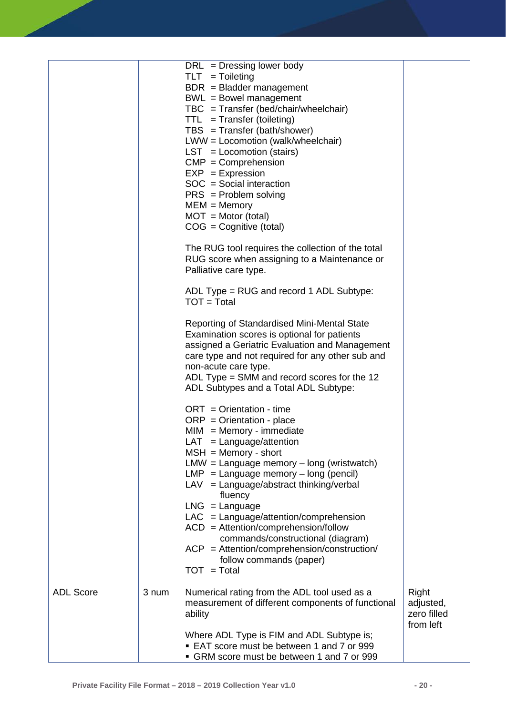|                  |       | $DRL$ = Dressing lower body<br>$TLT = Tolleting$<br>$BDR = Bladder management$<br>$BWL = Bowel management$<br>$TBC = Transfer (bed/chair/wheelchair)$<br>$TTL = Transfer (toileting)$<br>$TBS = Transfer (bath/shower)$<br>LWW = Locomotion (walk/wheelchair)<br>$LST = Locomotion$ (stairs)<br>$CMP = Comprehension$<br>$EXP = Expression$<br>$SOC = Social interaction$<br>$PRS = Problem$ solving<br>$MEM = Memory$<br>$MOT = Motor (total)$<br>$COG = Cognitive (total)$<br>The RUG tool requires the collection of the total<br>RUG score when assigning to a Maintenance or<br>Palliative care type.<br>ADL Type = RUG and record 1 ADL Subtype:<br>$TOT = Total$<br>Reporting of Standardised Mini-Mental State<br>Examination scores is optional for patients<br>assigned a Geriatric Evaluation and Management<br>care type and not required for any other sub and<br>non-acute care type.<br>ADL Type $=$ SMM and record scores for the 12<br>ADL Subtypes and a Total ADL Subtype:<br>$ORT = Orientation - time$<br>$ORP = Orientation - place$<br>$MIM = Memory - immediate$<br>$LAT = Language/attention$<br>$MSH = Memory - short$<br>$LMW = Language memory - long (wristwatch)$<br>$LMP = Language memory - long (pencil)$<br>$LAV = Language/abstract thinking/verbal$<br>fluency<br>$LNG = Language$<br>$LAC = Language/attention/comprehension$<br>$ACD =$ Attention/comprehension/follow<br>commands/constructional (diagram)<br>$ACP = Attention/comprehension/construction/$<br>follow commands (paper)<br>$TOT = Total$ |                                                |
|------------------|-------|------------------------------------------------------------------------------------------------------------------------------------------------------------------------------------------------------------------------------------------------------------------------------------------------------------------------------------------------------------------------------------------------------------------------------------------------------------------------------------------------------------------------------------------------------------------------------------------------------------------------------------------------------------------------------------------------------------------------------------------------------------------------------------------------------------------------------------------------------------------------------------------------------------------------------------------------------------------------------------------------------------------------------------------------------------------------------------------------------------------------------------------------------------------------------------------------------------------------------------------------------------------------------------------------------------------------------------------------------------------------------------------------------------------------------------------------------------------------------------------------------------------------------------------------|------------------------------------------------|
| <b>ADL Score</b> | 3 num | Numerical rating from the ADL tool used as a<br>measurement of different components of functional<br>ability<br>Where ADL Type is FIM and ADL Subtype is;<br>EAT score must be between 1 and 7 or 999<br>• GRM score must be between 1 and 7 or 999                                                                                                                                                                                                                                                                                                                                                                                                                                                                                                                                                                                                                                                                                                                                                                                                                                                                                                                                                                                                                                                                                                                                                                                                                                                                                            | Right<br>adjusted,<br>zero filled<br>from left |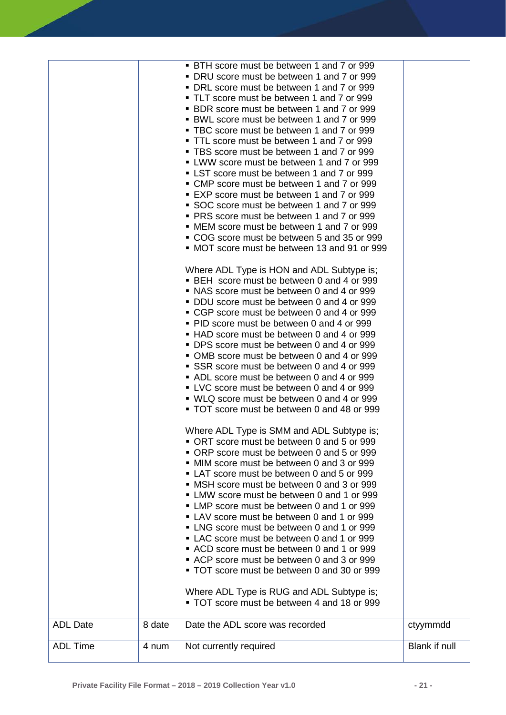| <b>ADL Date</b> | 8 date | • BTH score must be between 1 and 7 or 999<br>• DRU score must be between 1 and 7 or 999<br>• DRL score must be between 1 and 7 or 999<br>• TLT score must be between 1 and 7 or 999<br>• BDR score must be between 1 and 7 or 999<br>• BWL score must be between 1 and 7 or 999<br>• TBC score must be between 1 and 7 or 999<br>• TTL score must be between 1 and 7 or 999<br>• TBS score must be between 1 and 7 or 999<br>• LWW score must be between 1 and 7 or 999<br>• LST score must be between 1 and 7 or 999<br>• CMP score must be between 1 and 7 or 999<br>■ EXP score must be between 1 and 7 or 999<br>SOC score must be between 1 and 7 or 999<br>• PRS score must be between 1 and 7 or 999<br>• MEM score must be between 1 and 7 or 999<br>• COG score must be between 5 and 35 or 999<br>• MOT score must be between 13 and 91 or 999<br>Where ADL Type is HON and ADL Subtype is;<br>• BEH score must be between 0 and 4 or 999<br>• NAS score must be between 0 and 4 or 999<br>• DDU score must be between 0 and 4 or 999<br>• CGP score must be between 0 and 4 or 999<br>• PID score must be between 0 and 4 or 999<br>• HAD score must be between 0 and 4 or 999<br>• DPS score must be between 0 and 4 or 999<br>• OMB score must be between 0 and 4 or 999<br>SSR score must be between 0 and 4 or 999<br>• ADL score must be between 0 and 4 or 999<br>• LVC score must be between 0 and 4 or 999<br>• WLQ score must be between 0 and 4 or 999<br>• TOT score must be between 0 and 48 or 999<br>Where ADL Type is SMM and ADL Subtype is;<br>• ORT score must be between 0 and 5 or 999<br>• ORP score must be between 0 and 5 or 999<br>• MIM score must be between 0 and 3 or 999<br>• LAT score must be between 0 and 5 or 999<br>• MSH score must be between 0 and 3 or 999<br>• LMW score must be between 0 and 1 or 999<br>• LMP score must be between 0 and 1 or 999<br>• LAV score must be between 0 and 1 or 999<br>• LNG score must be between 0 and 1 or 999<br>• LAC score must be between 0 and 1 or 999<br>• ACD score must be between 0 and 1 or 999<br>• ACP score must be between 0 and 3 or 999<br>• TOT score must be between 0 and 30 or 999<br>Where ADL Type is RUG and ADL Subtype is;<br>• TOT score must be between 4 and 18 or 999<br>Date the ADL score was recorded | ctyymmdd      |
|-----------------|--------|--------------------------------------------------------------------------------------------------------------------------------------------------------------------------------------------------------------------------------------------------------------------------------------------------------------------------------------------------------------------------------------------------------------------------------------------------------------------------------------------------------------------------------------------------------------------------------------------------------------------------------------------------------------------------------------------------------------------------------------------------------------------------------------------------------------------------------------------------------------------------------------------------------------------------------------------------------------------------------------------------------------------------------------------------------------------------------------------------------------------------------------------------------------------------------------------------------------------------------------------------------------------------------------------------------------------------------------------------------------------------------------------------------------------------------------------------------------------------------------------------------------------------------------------------------------------------------------------------------------------------------------------------------------------------------------------------------------------------------------------------------------------------------------------------------------------------------------------------------------------------------------------------------------------------------------------------------------------------------------------------------------------------------------------------------------------------------------------------------------------------------------------------------------------------------------------------------------------------------------------------------------------------------------------------------------------------------|---------------|
| <b>ADL Time</b> | 4 num  | Not currently required                                                                                                                                                                                                                                                                                                                                                                                                                                                                                                                                                                                                                                                                                                                                                                                                                                                                                                                                                                                                                                                                                                                                                                                                                                                                                                                                                                                                                                                                                                                                                                                                                                                                                                                                                                                                                                                                                                                                                                                                                                                                                                                                                                                                                                                                                                         | Blank if null |
|                 |        |                                                                                                                                                                                                                                                                                                                                                                                                                                                                                                                                                                                                                                                                                                                                                                                                                                                                                                                                                                                                                                                                                                                                                                                                                                                                                                                                                                                                                                                                                                                                                                                                                                                                                                                                                                                                                                                                                                                                                                                                                                                                                                                                                                                                                                                                                                                                |               |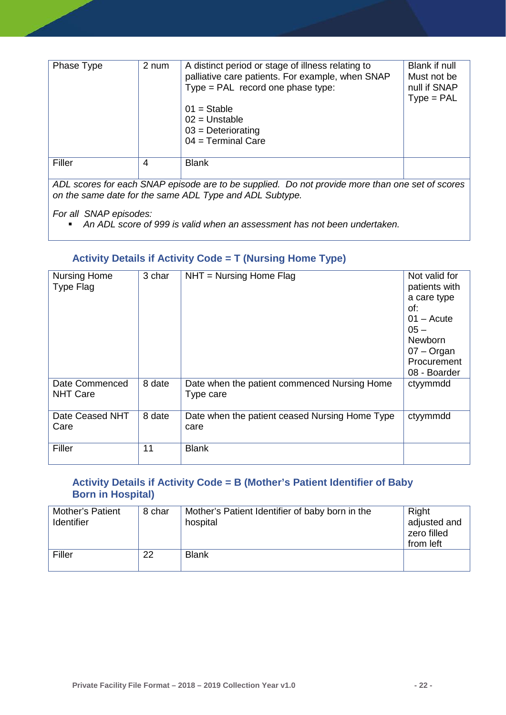| Phase Type | 2 num | A distinct period or stage of illness relating to<br>palliative care patients. For example, when SNAP<br>Type = $PAL$ record one phase type:<br>$01 =$ Stable<br>$02 = Unstable$<br>$03$ = Deteriorating<br>$04 = Terminal Care$ | Blank if null<br>Must not be<br>null if SNAP<br>$Type = PAL$ |
|------------|-------|----------------------------------------------------------------------------------------------------------------------------------------------------------------------------------------------------------------------------------|--------------------------------------------------------------|
| Filler     | 4     | <b>Blank</b>                                                                                                                                                                                                                     |                                                              |
|            |       |                                                                                                                                                                                                                                  |                                                              |

*ADL scores for each SNAP episode are to be supplied. Do not provide more than one set of scores on the same date for the same ADL Type and ADL Subtype.* 

*For all SNAP episodes:* 

*An ADL score of 999 is valid when an assessment has not been undertaken.*

#### <span id="page-22-0"></span>**Activity Details if Activity Code = T (Nursing Home Type)**

| <b>Nursing Home</b><br>Type Flag  | 3 char | $NHT = Nursing Home Flag$                                 | Not valid for<br>patients with<br>a care type<br>of:<br>$01 -$ Acute<br>$05 -$<br><b>Newborn</b><br>$07 -$ Organ<br>Procurement<br>08 - Boarder |
|-----------------------------------|--------|-----------------------------------------------------------|-------------------------------------------------------------------------------------------------------------------------------------------------|
| Date Commenced<br><b>NHT Care</b> | 8 date | Date when the patient commenced Nursing Home<br>Type care | ctyymmdd                                                                                                                                        |
| Date Ceased NHT<br>Care           | 8 date | Date when the patient ceased Nursing Home Type<br>care    | ctyymmdd                                                                                                                                        |
| Filler                            | 11     | <b>Blank</b>                                              |                                                                                                                                                 |

#### <span id="page-22-1"></span>**Activity Details if Activity Code = B (Mother's Patient Identifier of Baby Born in Hospital)**

| <b>Mother's Patient</b><br><b>Identifier</b> | 8 char | Mother's Patient Identifier of baby born in the<br>hospital | Right<br>adjusted and<br>zero filled<br>from left |
|----------------------------------------------|--------|-------------------------------------------------------------|---------------------------------------------------|
| Filler                                       | 22     | <b>Blank</b>                                                |                                                   |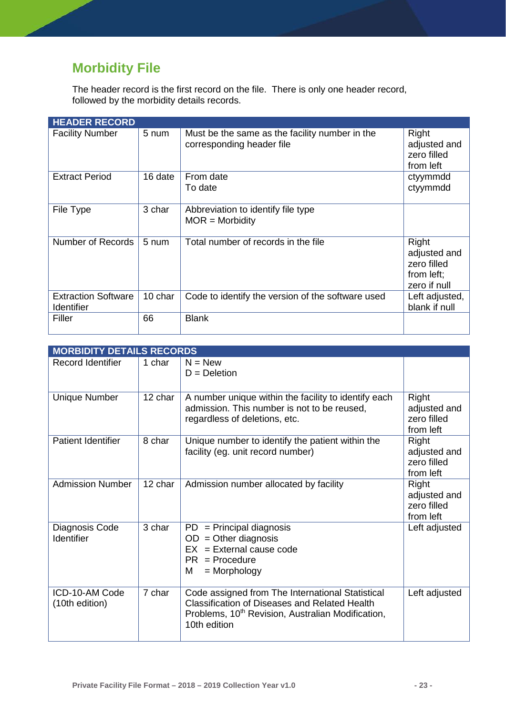# <span id="page-23-0"></span>**Morbidity File**

The header record is the first record on the file. There is only one header record, followed by the morbidity details records.

| <b>HEADER RECORD</b>                            |         |                                                                             |                                                                    |
|-------------------------------------------------|---------|-----------------------------------------------------------------------------|--------------------------------------------------------------------|
| <b>Facility Number</b>                          | 5 num   | Must be the same as the facility number in the<br>corresponding header file | Right<br>adjusted and<br>zero filled<br>from left                  |
| <b>Extract Period</b>                           | 16 date | From date<br>To date                                                        | ctyymmdd<br>ctyymmdd                                               |
| File Type                                       | 3 char  | Abbreviation to identify file type<br>$MOR = Morbidity$                     |                                                                    |
| Number of Records                               | 5 num   | Total number of records in the file                                         | Right<br>adjusted and<br>zero filled<br>from left;<br>zero if null |
| <b>Extraction Software</b><br><b>Identifier</b> | 10 char | Code to identify the version of the software used                           | Left adjusted,<br>blank if null                                    |
| Filler                                          | 66      | <b>Blank</b>                                                                |                                                                    |

| <b>MORBIDITY DETAILS RECORDS</b> |         |                                                                                                                                                                                           |                                                          |
|----------------------------------|---------|-------------------------------------------------------------------------------------------------------------------------------------------------------------------------------------------|----------------------------------------------------------|
| <b>Record Identifier</b>         | 1 char  | $N = New$<br>$D = Deletion$                                                                                                                                                               |                                                          |
| <b>Unique Number</b>             | 12 char | A number unique within the facility to identify each<br>admission. This number is not to be reused,<br>regardless of deletions, etc.                                                      | Right<br>adjusted and<br>zero filled<br>from left        |
| <b>Patient Identifier</b>        | 8 char  | Unique number to identify the patient within the<br>facility (eg. unit record number)                                                                                                     | Right<br>adjusted and<br>zero filled<br>from left        |
| <b>Admission Number</b>          | 12 char | Admission number allocated by facility                                                                                                                                                    | <b>Right</b><br>adjusted and<br>zero filled<br>from left |
| Diagnosis Code<br>Identifier     | 3 char  | $PD = Principal$ diagnosis<br>$OD = Other diagnosis$<br>$EX = External cause code$<br>$PR = Procedure$<br>М<br>$=$ Morphology                                                             | Left adjusted                                            |
| ICD-10-AM Code<br>(10th edition) | 7 char  | Code assigned from The International Statistical<br><b>Classification of Diseases and Related Health</b><br>Problems, 10 <sup>th</sup> Revision, Australian Modification,<br>10th edition | Left adjusted                                            |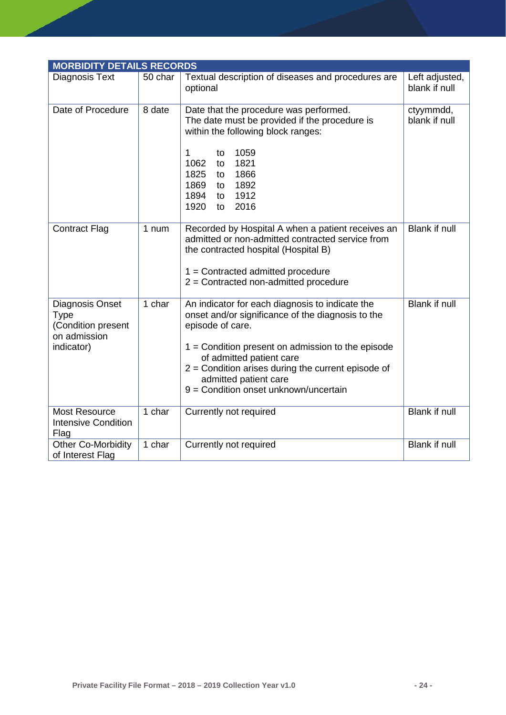| <b>MORBIDITY DETAILS RECORDS</b>                                                   |         |                                                                                                                                                                                                                                                                                                                                       |                                 |
|------------------------------------------------------------------------------------|---------|---------------------------------------------------------------------------------------------------------------------------------------------------------------------------------------------------------------------------------------------------------------------------------------------------------------------------------------|---------------------------------|
| Diagnosis Text                                                                     | 50 char | Textual description of diseases and procedures are<br>optional                                                                                                                                                                                                                                                                        | Left adjusted,<br>blank if null |
| Date of Procedure                                                                  | 8 date  | Date that the procedure was performed.<br>The date must be provided if the procedure is<br>within the following block ranges:<br>1059<br>1<br>to<br>1062<br>1821<br>to<br>1866<br>1825<br>to<br>1869<br>1892<br>to<br>1894<br>1912<br>to<br>1920<br>2016<br>to                                                                        | ctyymmdd,<br>blank if null      |
| <b>Contract Flag</b>                                                               | 1 num   | Recorded by Hospital A when a patient receives an<br>admitted or non-admitted contracted service from<br>the contracted hospital (Hospital B)<br>$1 =$ Contracted admitted procedure<br>$2$ = Contracted non-admitted procedure                                                                                                       | <b>Blank if null</b>            |
| Diagnosis Onset<br><b>Type</b><br>(Condition present<br>on admission<br>indicator) | 1 char  | An indicator for each diagnosis to indicate the<br>onset and/or significance of the diagnosis to the<br>episode of care.<br>$1 =$ Condition present on admission to the episode<br>of admitted patient care<br>$2$ = Condition arises during the current episode of<br>admitted patient care<br>9 = Condition onset unknown/uncertain | <b>Blank if null</b>            |
| <b>Most Resource</b><br><b>Intensive Condition</b><br>Flag                         | 1 char  | Currently not required                                                                                                                                                                                                                                                                                                                | <b>Blank if null</b>            |
| <b>Other Co-Morbidity</b><br>of Interest Flag                                      | 1 char  | Currently not required                                                                                                                                                                                                                                                                                                                | <b>Blank if null</b>            |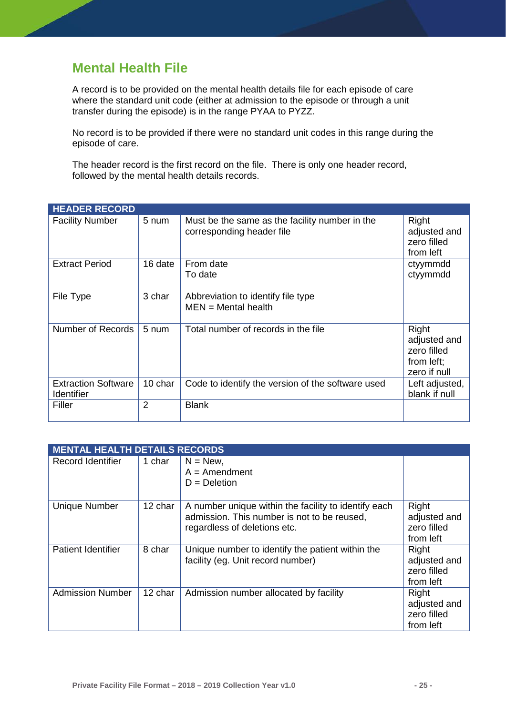## <span id="page-25-0"></span>**Mental Health File**

A record is to be provided on the mental health details file for each episode of care where the standard unit code (either at admission to the episode or through a unit transfer during the episode) is in the range PYAA to PYZZ.

No record is to be provided if there were no standard unit codes in this range during the episode of care.

The header record is the first record on the file. There is only one header record, followed by the mental health details records.

| <b>HEADER RECORD</b>                     |                 |                                                                             |                                                                    |  |  |
|------------------------------------------|-----------------|-----------------------------------------------------------------------------|--------------------------------------------------------------------|--|--|
| <b>Facility Number</b>                   | 5 num           | Must be the same as the facility number in the<br>corresponding header file | Right<br>adjusted and<br>zero filled<br>from left                  |  |  |
| <b>Extract Period</b>                    | 16 date         | From date<br>To date                                                        | ctyymmdd<br>ctyymmdd                                               |  |  |
| File Type                                | 3 char          | Abbreviation to identify file type<br>$MEN = Mental health$                 |                                                                    |  |  |
| Number of Records                        | $5 \text{ num}$ | Total number of records in the file                                         | Right<br>adjusted and<br>zero filled<br>from left;<br>zero if null |  |  |
| <b>Extraction Software</b><br>Identifier | 10 char         | Code to identify the version of the software used                           | Left adjusted,<br>blank if null                                    |  |  |
| Filler                                   | $\overline{2}$  | <b>Blank</b>                                                                |                                                                    |  |  |

| <b>MENTAL HEALTH DETAILS RECORDS</b> |         |                                                                                                                                     |                                                   |  |
|--------------------------------------|---------|-------------------------------------------------------------------------------------------------------------------------------------|---------------------------------------------------|--|
| Record Identifier                    | 1 char  | $N = New$ ,<br>$A =$ Amendment<br>$D = Deletion$                                                                                    |                                                   |  |
| <b>Unique Number</b>                 | 12 char | A number unique within the facility to identify each<br>admission. This number is not to be reused,<br>regardless of deletions etc. | Right<br>adjusted and<br>zero filled<br>from left |  |
| <b>Patient Identifier</b>            | 8 char  | Unique number to identify the patient within the<br>facility (eg. Unit record number)                                               | Right<br>adjusted and<br>zero filled<br>from left |  |
| <b>Admission Number</b>              | 12 char | Admission number allocated by facility                                                                                              | Right<br>adjusted and<br>zero filled<br>from left |  |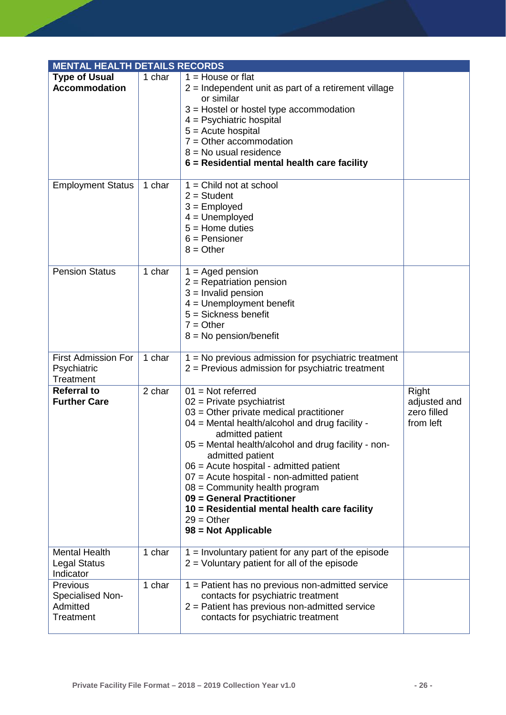| <b>MENTAL HEALTH DETAILS RECORDS</b>                   |        |                                                                                                                                                                                                                                                                                                                                                                                                                                                                                                   |                                                   |  |
|--------------------------------------------------------|--------|---------------------------------------------------------------------------------------------------------------------------------------------------------------------------------------------------------------------------------------------------------------------------------------------------------------------------------------------------------------------------------------------------------------------------------------------------------------------------------------------------|---------------------------------------------------|--|
| <b>Type of Usual</b><br><b>Accommodation</b>           | 1 char | $1 =$ House or flat<br>$2$ = Independent unit as part of a retirement village<br>or similar<br>$3$ = Hostel or hostel type accommodation<br>$4 =$ Psychiatric hospital<br>$5 =$ Acute hospital<br>$7 =$ Other accommodation<br>$8 = No$ usual residence<br>6 = Residential mental health care facility                                                                                                                                                                                            |                                                   |  |
| <b>Employment Status</b>                               | 1 char | $1 =$ Child not at school<br>$2 = Student$<br>$3 =$ Employed<br>$4 =$ Unemployed<br>$5 =$ Home duties<br>$6$ = Pensioner<br>$8 = Other$                                                                                                                                                                                                                                                                                                                                                           |                                                   |  |
| <b>Pension Status</b>                                  | 1 char | $1 =$ Aged pension<br>$2$ = Repatriation pension<br>$3 =$ Invalid pension<br>$4 =$ Unemployment benefit<br>$5 = Sickness$ benefit<br>$7 = Other$<br>$8 = No$ pension/benefit                                                                                                                                                                                                                                                                                                                      |                                                   |  |
| <b>First Admission For</b><br>Psychiatric<br>Treatment | 1 char | 1 = No previous admission for psychiatric treatment<br>$2$ = Previous admission for psychiatric treatment                                                                                                                                                                                                                                                                                                                                                                                         |                                                   |  |
| <b>Referral to</b><br><b>Further Care</b>              | 2 char | $01 = Not referred$<br>$02$ = Private psychiatrist<br>$03$ = Other private medical practitioner<br>04 = Mental health/alcohol and drug facility -<br>admitted patient<br>05 = Mental health/alcohol and drug facility - non-<br>admitted patient<br>$06$ = Acute hospital - admitted patient<br>07 = Acute hospital - non-admitted patient<br>$08 =$ Community health program<br>09 = General Practitioner<br>10 = Residential mental health care facility<br>$29 = Other$<br>98 = Not Applicable | Right<br>adjusted and<br>zero filled<br>from left |  |
| <b>Mental Health</b><br>Legal Status<br>Indicator      | 1 char | $1 =$ Involuntary patient for any part of the episode<br>$2$ = Voluntary patient for all of the episode                                                                                                                                                                                                                                                                                                                                                                                           |                                                   |  |
| Previous<br>Specialised Non-<br>Admitted<br>Treatment  | 1 char | 1 = Patient has no previous non-admitted service<br>contacts for psychiatric treatment<br>$2$ = Patient has previous non-admitted service<br>contacts for psychiatric treatment                                                                                                                                                                                                                                                                                                                   |                                                   |  |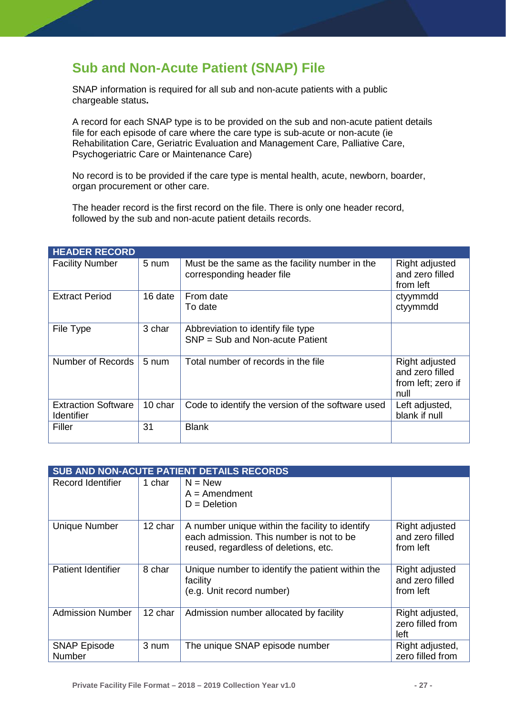# <span id="page-27-0"></span>**Sub and Non-Acute Patient (SNAP) File**

SNAP information is required for all sub and non-acute patients with a public chargeable status**.**

A record for each SNAP type is to be provided on the sub and non-acute patient details file for each episode of care where the care type is sub-acute or non-acute (ie Rehabilitation Care, Geriatric Evaluation and Management Care, Palliative Care, Psychogeriatric Care or Maintenance Care)

No record is to be provided if the care type is mental health, acute, newborn, boarder, organ procurement or other care.

The header record is the first record on the file. There is only one header record, followed by the sub and non-acute patient details records.

| <b>HEADER RECORD</b>                     |                 |                                                                             |                                                                 |
|------------------------------------------|-----------------|-----------------------------------------------------------------------------|-----------------------------------------------------------------|
| <b>Facility Number</b>                   | 5 num           | Must be the same as the facility number in the<br>corresponding header file | Right adjusted<br>and zero filled<br>from left                  |
| <b>Extract Period</b>                    | 16 date         | From date<br>To date                                                        | ctyymmdd<br>ctyymmdd                                            |
| File Type                                | 3 char          | Abbreviation to identify file type<br>$SNP = Sub$ and Non-acute Patient     |                                                                 |
| Number of Records                        | $5 \text{ num}$ | Total number of records in the file                                         | Right adjusted<br>and zero filled<br>from left; zero if<br>null |
| <b>Extraction Software</b><br>Identifier | 10 char         | Code to identify the version of the software used                           | Left adjusted,<br>blank if null                                 |
| Filler                                   | 31              | <b>Blank</b>                                                                |                                                                 |

| <b>SUB AND NON-ACUTE PATIENT DETAILS RECORDS</b> |         |                                                                                                                                      |                                                |  |
|--------------------------------------------------|---------|--------------------------------------------------------------------------------------------------------------------------------------|------------------------------------------------|--|
| Record Identifier                                | 1 char  | $N = New$<br>$A =$ Amendment<br>$D = Deletion$                                                                                       |                                                |  |
| <b>Unique Number</b>                             | 12 char | A number unique within the facility to identify<br>each admission. This number is not to be<br>reused, regardless of deletions, etc. | Right adjusted<br>and zero filled<br>from left |  |
| Patient Identifier                               | 8 char  | Unique number to identify the patient within the<br>facility<br>(e.g. Unit record number)                                            | Right adjusted<br>and zero filled<br>from left |  |
| <b>Admission Number</b>                          | 12 char | Admission number allocated by facility                                                                                               | Right adjusted,<br>zero filled from<br>left    |  |
| <b>SNAP Episode</b><br>Number                    | 3 num   | The unique SNAP episode number                                                                                                       | Right adjusted,<br>zero filled from            |  |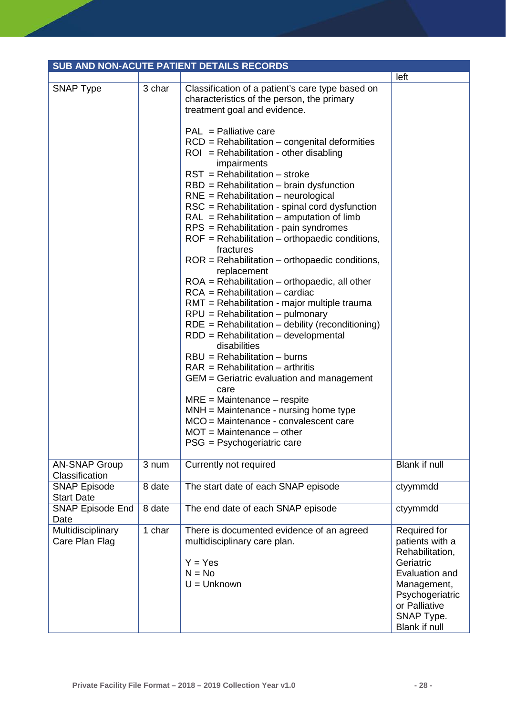| SUB AND NON-ACUTE PATIENT DETAILS RECORDS |        |                                                                                                                                                                                                                                                                                                                                                                                                                                                                                                                                                                                                                                                                                                                                                                                                                                                              |                                                                                                                                                                     |  |
|-------------------------------------------|--------|--------------------------------------------------------------------------------------------------------------------------------------------------------------------------------------------------------------------------------------------------------------------------------------------------------------------------------------------------------------------------------------------------------------------------------------------------------------------------------------------------------------------------------------------------------------------------------------------------------------------------------------------------------------------------------------------------------------------------------------------------------------------------------------------------------------------------------------------------------------|---------------------------------------------------------------------------------------------------------------------------------------------------------------------|--|
|                                           |        |                                                                                                                                                                                                                                                                                                                                                                                                                                                                                                                                                                                                                                                                                                                                                                                                                                                              | left                                                                                                                                                                |  |
| <b>SNAP Type</b>                          | 3 char | Classification of a patient's care type based on<br>characteristics of the person, the primary<br>treatment goal and evidence.<br>$PAL = Palliative care$<br>$RCD = Rehabilitation - congenital deformities$<br>$ROI = Rehabilitation - other disabling$<br>impairments<br>$RST = Rehabilitation - stroke$<br>$RBD = Rehabilitation - brain dysfunction$<br>$RNE = Rehabilitation - neurological$<br>RSC = Rehabilitation - spinal cord dysfunction<br>$RAL = Rehabilitation - amputation of limb$<br>RPS = Rehabilitation - pain syndromes<br>$ROF = Rehabilitation - orthopaedic conditions,$<br>fractures<br>$ROR = Rehabilitation - orthopaedic conditions,$<br>replacement<br>$ROA = Rehabilitation - orthopaedic, all other$<br>$RCA = Rehabilitation - cardiac$<br>RMT = Rehabilitation - major multiple trauma<br>$RPU = Rehabilitation - pulmonary$ |                                                                                                                                                                     |  |
|                                           |        | $RDE = Rehabilitation - debility (reconditioning)$<br>$RDD = Rehabilitation - developmental$<br>disabilities<br>$RBU = Rehabilitation - burns$<br>$RAR = Rehabilitation - arthritis$<br>GEM = Geriatric evaluation and management<br>care<br>$MRE = Maintenance - respite$                                                                                                                                                                                                                                                                                                                                                                                                                                                                                                                                                                                   |                                                                                                                                                                     |  |
|                                           |        | $MMH = Maintenance - nursing home type$<br>MCO = Maintenance - convalescent care<br>$MOT = Maintenance - other$<br>PSG = Psychogeriatric care                                                                                                                                                                                                                                                                                                                                                                                                                                                                                                                                                                                                                                                                                                                |                                                                                                                                                                     |  |
| <b>AN-SNAP Group</b><br>Classification    | 3 num  | Currently not required                                                                                                                                                                                                                                                                                                                                                                                                                                                                                                                                                                                                                                                                                                                                                                                                                                       | <b>Blank if null</b>                                                                                                                                                |  |
| <b>SNAP Episode</b><br><b>Start Date</b>  | 8 date | The start date of each SNAP episode                                                                                                                                                                                                                                                                                                                                                                                                                                                                                                                                                                                                                                                                                                                                                                                                                          | ctyymmdd                                                                                                                                                            |  |
| <b>SNAP Episode End</b><br>Date           | 8 date | The end date of each SNAP episode                                                                                                                                                                                                                                                                                                                                                                                                                                                                                                                                                                                                                                                                                                                                                                                                                            | ctyymmdd                                                                                                                                                            |  |
| Multidisciplinary<br>Care Plan Flag       | 1 char | There is documented evidence of an agreed<br>multidisciplinary care plan.<br>$Y = Yes$<br>$N = No$<br>$U =$ Unknown                                                                                                                                                                                                                                                                                                                                                                                                                                                                                                                                                                                                                                                                                                                                          | Required for<br>patients with a<br>Rehabilitation,<br>Geriatric<br>Evaluation and<br>Management,<br>Psychogeriatric<br>or Palliative<br>SNAP Type.<br>Blank if null |  |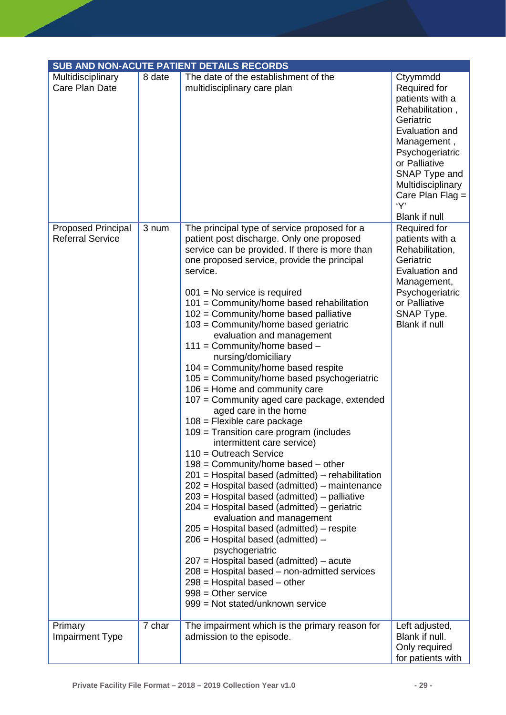|                                                      |        | <b>SUB AND NON-ACUTE PATIENT DETAILS RECORDS</b>                                                                                                                                                                                                                                                                                                                                                                                                                                                                                                                                                                                                                                                                                                                                                                                                                                                                                                                                                                                                                                                                                                                                                                                                                                                                                                                                      |                                                                                                                                                                                                                                      |
|------------------------------------------------------|--------|---------------------------------------------------------------------------------------------------------------------------------------------------------------------------------------------------------------------------------------------------------------------------------------------------------------------------------------------------------------------------------------------------------------------------------------------------------------------------------------------------------------------------------------------------------------------------------------------------------------------------------------------------------------------------------------------------------------------------------------------------------------------------------------------------------------------------------------------------------------------------------------------------------------------------------------------------------------------------------------------------------------------------------------------------------------------------------------------------------------------------------------------------------------------------------------------------------------------------------------------------------------------------------------------------------------------------------------------------------------------------------------|--------------------------------------------------------------------------------------------------------------------------------------------------------------------------------------------------------------------------------------|
| Multidisciplinary<br>Care Plan Date                  | 8 date | The date of the establishment of the<br>multidisciplinary care plan                                                                                                                                                                                                                                                                                                                                                                                                                                                                                                                                                                                                                                                                                                                                                                                                                                                                                                                                                                                                                                                                                                                                                                                                                                                                                                                   | Ctyymmdd<br>Required for<br>patients with a<br>Rehabilitation,<br>Geriatric<br>Evaluation and<br>Management,<br>Psychogeriatric<br>or Palliative<br>SNAP Type and<br>Multidisciplinary<br>Care Plan Flag $=$<br>'Y'<br>Blank if null |
| <b>Proposed Principal</b><br><b>Referral Service</b> | 3 num  | The principal type of service proposed for a<br>patient post discharge. Only one proposed<br>service can be provided. If there is more than<br>one proposed service, provide the principal<br>service.<br>$001$ = No service is required<br>101 = Community/home based rehabilitation<br>102 = Community/home based palliative<br>103 = Community/home based geriatric<br>evaluation and management<br>$111 =$ Community/home based -<br>nursing/domiciliary<br>104 = Community/home based respite<br>105 = Community/home based psychogeriatric<br>$106$ = Home and community care<br>107 = Community aged care package, extended<br>aged care in the home<br>$108$ = Flexible care package<br>109 = Transition care program (includes<br>intermittent care service)<br>$110 =$ Outreach Service<br>$198$ = Community/home based – other<br>201 = Hospital based (admitted) – rehabilitation<br>202 = Hospital based (admitted) – maintenance<br>$203$ = Hospital based (admitted) – palliative<br>$204$ = Hospital based (admitted) – geriatric<br>evaluation and management<br>$205$ = Hospital based (admitted) – respite<br>$206$ = Hospital based (admitted) –<br>psychogeriatric<br>$207$ = Hospital based (admitted) – acute<br>$208$ = Hospital based – non-admitted services<br>$298$ = Hospital based – other<br>$998 =$ Other service<br>999 = Not stated/unknown service | Required for<br>patients with a<br>Rehabilitation,<br>Geriatric<br>Evaluation and<br>Management,<br>Psychogeriatric<br>or Palliative<br>SNAP Type.<br>Blank if null                                                                  |
| Primary<br><b>Impairment Type</b>                    | 7 char | The impairment which is the primary reason for<br>admission to the episode.                                                                                                                                                                                                                                                                                                                                                                                                                                                                                                                                                                                                                                                                                                                                                                                                                                                                                                                                                                                                                                                                                                                                                                                                                                                                                                           | Left adjusted,<br>Blank if null.<br>Only required<br>for patients with                                                                                                                                                               |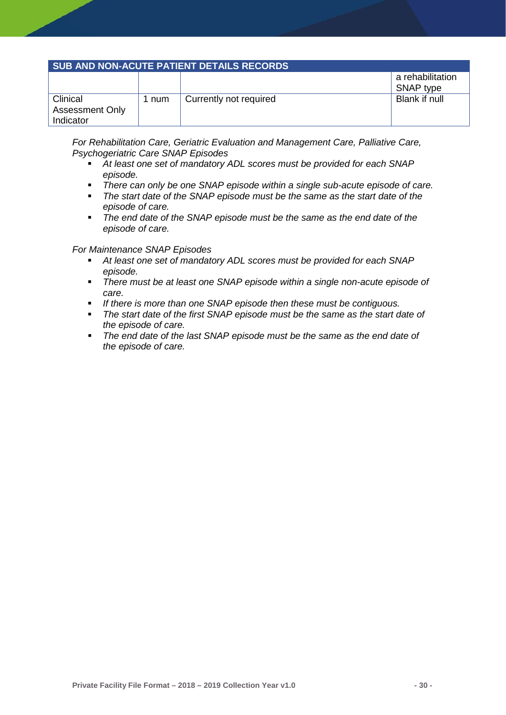#### **SUB AND NON-ACUTE PATIENT DETAILS RECORDS**

|                                    |     |                        | a rehabilitation<br>SNAP type |
|------------------------------------|-----|------------------------|-------------------------------|
| Clinical<br><b>Assessment Only</b> | num | Currently not required | Blank if null                 |
| Indicator                          |     |                        |                               |

*For Rehabilitation Care, Geriatric Evaluation and Management Care, Palliative Care, Psychogeriatric Care SNAP Episodes*

- *At least one set of mandatory ADL scores must be provided for each SNAP episode.*
- *There can only be one SNAP episode within a single sub-acute episode of care.*
- *The start date of the SNAP episode must be the same as the start date of the episode of care.*
- *The end date of the SNAP episode must be the same as the end date of the episode of care.*

#### *For Maintenance SNAP Episodes*

- *At least one set of mandatory ADL scores must be provided for each SNAP episode.*
- *There must be at least one SNAP episode within a single non-acute episode of care.*
- *If there is more than one SNAP episode then these must be contiguous.*
- *The start date of the first SNAP episode must be the same as the start date of the episode of care.*
- *The end date of the last SNAP episode must be the same as the end date of the episode of care.*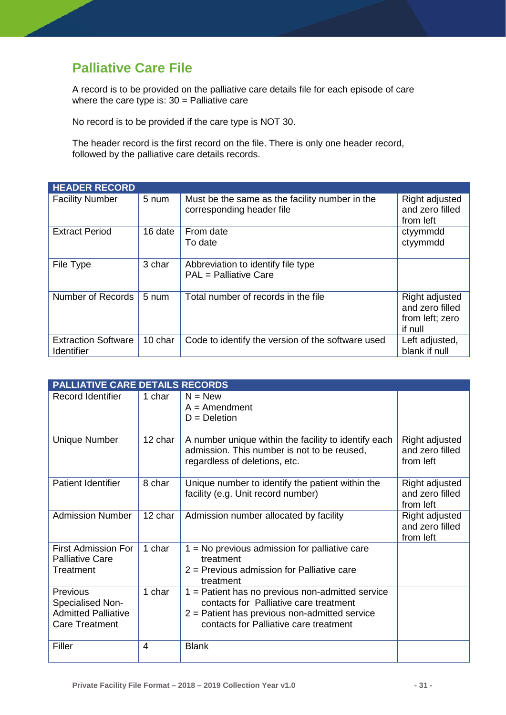# <span id="page-31-0"></span>**Palliative Care File**

A record is to be provided on the palliative care details file for each episode of care where the care type is:  $30 =$  Palliative care

No record is to be provided if the care type is NOT 30.

The header record is the first record on the file. There is only one header record, followed by the palliative care details records.

| <b>HEADER RECORD</b>                            |                 |                                                                             |                                                                 |
|-------------------------------------------------|-----------------|-----------------------------------------------------------------------------|-----------------------------------------------------------------|
| <b>Facility Number</b>                          | 5 num           | Must be the same as the facility number in the<br>corresponding header file | Right adjusted<br>and zero filled<br>from left                  |
| <b>Extract Period</b>                           | 16 date         | From date<br>To date                                                        | ctyymmdd<br>ctyymmdd                                            |
| File Type                                       | 3 char          | Abbreviation to identify file type<br>PAL = Palliative Care                 |                                                                 |
| Number of Records                               | $5 \text{ num}$ | Total number of records in the file                                         | Right adjusted<br>and zero filled<br>from left; zero<br>if null |
| <b>Extraction Software</b><br><b>Identifier</b> | 10 char         | Code to identify the version of the software used                           | Left adjusted,<br>blank if null                                 |

|                                                                                     | <b>PALLIATIVE CARE DETAILS RECORDS</b> |                                                                                                                                                                                           |                                                |  |  |
|-------------------------------------------------------------------------------------|----------------------------------------|-------------------------------------------------------------------------------------------------------------------------------------------------------------------------------------------|------------------------------------------------|--|--|
| <b>Record Identifier</b>                                                            | 1 char                                 | $N = New$<br>$A =$ Amendment<br>$D = Deletion$                                                                                                                                            |                                                |  |  |
| <b>Unique Number</b>                                                                | 12 char                                | A number unique within the facility to identify each<br>admission. This number is not to be reused,<br>regardless of deletions, etc.                                                      | Right adjusted<br>and zero filled<br>from left |  |  |
| <b>Patient Identifier</b>                                                           | 8 char                                 | Unique number to identify the patient within the<br>facility (e.g. Unit record number)                                                                                                    | Right adjusted<br>and zero filled<br>from left |  |  |
| <b>Admission Number</b>                                                             | 12 char                                | Admission number allocated by facility                                                                                                                                                    | Right adjusted<br>and zero filled<br>from left |  |  |
| <b>First Admission For</b><br><b>Palliative Care</b><br>Treatment                   | 1 char                                 | $1 = No$ previous admission for palliative care<br>treatment<br>$2$ = Previous admission for Palliative care<br>treatment                                                                 |                                                |  |  |
| Previous<br>Specialised Non-<br><b>Admitted Palliative</b><br><b>Care Treatment</b> | 1 char                                 | $1 =$ Patient has no previous non-admitted service<br>contacts for Palliative care treatment<br>$2$ = Patient has previous non-admitted service<br>contacts for Palliative care treatment |                                                |  |  |
| Filler                                                                              | 4                                      | <b>Blank</b>                                                                                                                                                                              |                                                |  |  |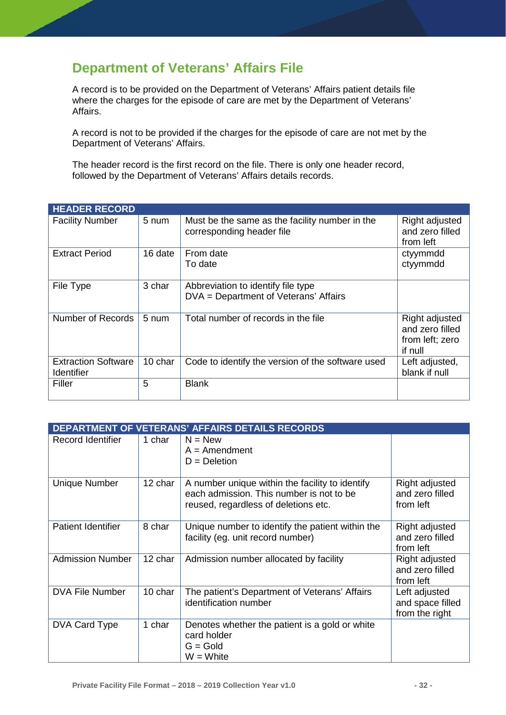# <span id="page-32-0"></span>**Department of Veterans' Affairs File**

A record is to be provided on the Department of Veterans' Affairs patient details file where the charges for the episode of care are met by the Department of Veterans' Affairs.

A record is not to be provided if the charges for the episode of care are not met by the Department of Veterans' Affairs.

The header record is the first record on the file. There is only one header record, followed by the Department of Veterans' Affairs details records.

| <b>HEADER RECORD</b>                            |         |                                                                             |                                                                 |
|-------------------------------------------------|---------|-----------------------------------------------------------------------------|-----------------------------------------------------------------|
| <b>Facility Number</b>                          | 5 num   | Must be the same as the facility number in the<br>corresponding header file | Right adjusted<br>and zero filled<br>from left                  |
| <b>Extract Period</b>                           | 16 date | From date<br>To date                                                        | ctyymmdd<br>ctyymmdd                                            |
| File Type                                       | 3 char  | Abbreviation to identify file type<br>DVA = Department of Veterans' Affairs |                                                                 |
| Number of Records                               | 5 num   | Total number of records in the file                                         | Right adjusted<br>and zero filled<br>from left; zero<br>if null |
| <b>Extraction Software</b><br><b>Identifier</b> | 10 char | Code to identify the version of the software used                           | Left adjusted,<br>blank if null                                 |
| Filler                                          | 5       | <b>Blank</b>                                                                |                                                                 |

|                           |         | <b>DEPARTMENT OF VETERANS' AFFAIRS DETAILS RECORDS</b>                                                                              |                                                     |
|---------------------------|---------|-------------------------------------------------------------------------------------------------------------------------------------|-----------------------------------------------------|
| <b>Record Identifier</b>  | 1 char  | $N = New$<br>$A =$ Amendment<br>$D = Deletion$                                                                                      |                                                     |
| <b>Unique Number</b>      | 12 char | A number unique within the facility to identify<br>each admission. This number is not to be<br>reused, regardless of deletions etc. | Right adjusted<br>and zero filled<br>from left      |
| <b>Patient Identifier</b> | 8 char  | Unique number to identify the patient within the<br>facility (eg. unit record number)                                               | Right adjusted<br>and zero filled<br>from left      |
| <b>Admission Number</b>   | 12 char | Admission number allocated by facility                                                                                              | Right adjusted<br>and zero filled<br>from left      |
| <b>DVA File Number</b>    | 10 char | The patient's Department of Veterans' Affairs<br>identification number                                                              | Left adjusted<br>and space filled<br>from the right |
| DVA Card Type             | 1 char  | Denotes whether the patient is a gold or white<br>card holder<br>$G = Gold$<br>$W = White$                                          |                                                     |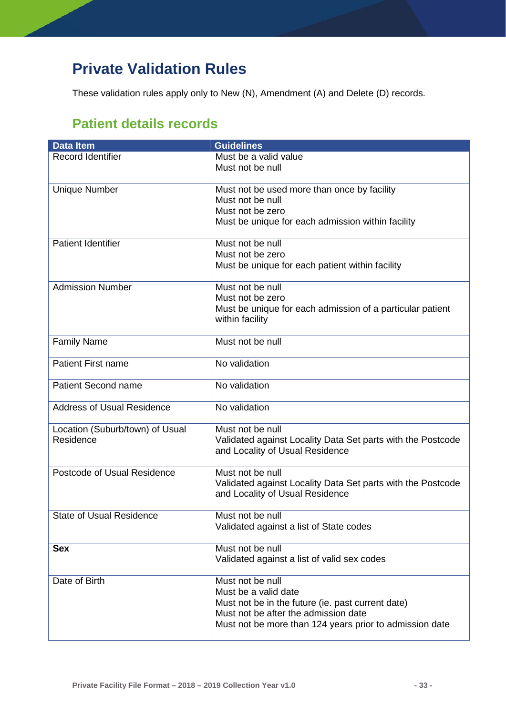# <span id="page-33-0"></span>**Private Validation Rules**

<span id="page-33-1"></span>These validation rules apply only to New (N), Amendment (A) and Delete (D) records.

# **Patient details records**

| <b>Data Item</b>                  | <b>Guidelines</b>                                                                              |
|-----------------------------------|------------------------------------------------------------------------------------------------|
| Record Identifier                 | Must be a valid value<br>Must not be null                                                      |
|                                   |                                                                                                |
| <b>Unique Number</b>              | Must not be used more than once by facility<br>Must not be null                                |
|                                   | Must not be zero                                                                               |
|                                   | Must be unique for each admission within facility                                              |
| <b>Patient Identifier</b>         | Must not be null                                                                               |
|                                   | Must not be zero<br>Must be unique for each patient within facility                            |
|                                   |                                                                                                |
| <b>Admission Number</b>           | Must not be null                                                                               |
|                                   | Must not be zero<br>Must be unique for each admission of a particular patient                  |
|                                   | within facility                                                                                |
| <b>Family Name</b>                | Must not be null                                                                               |
| <b>Patient First name</b>         | No validation                                                                                  |
| Patient Second name               | No validation                                                                                  |
| <b>Address of Usual Residence</b> | No validation                                                                                  |
| Location (Suburb/town) of Usual   | Must not be null                                                                               |
| Residence                         | Validated against Locality Data Set parts with the Postcode<br>and Locality of Usual Residence |
| Postcode of Usual Residence       | Must not be null                                                                               |
|                                   | Validated against Locality Data Set parts with the Postcode<br>and Locality of Usual Residence |
| <b>State of Usual Residence</b>   | Must not be null                                                                               |
|                                   | Validated against a list of State codes                                                        |
| <b>Sex</b>                        | Must not be null                                                                               |
|                                   | Validated against a list of valid sex codes                                                    |
| Date of Birth                     | Must not be null                                                                               |
|                                   | Must be a valid date<br>Must not be in the future (ie. past current date)                      |
|                                   | Must not be after the admission date                                                           |
|                                   | Must not be more than 124 years prior to admission date                                        |
|                                   |                                                                                                |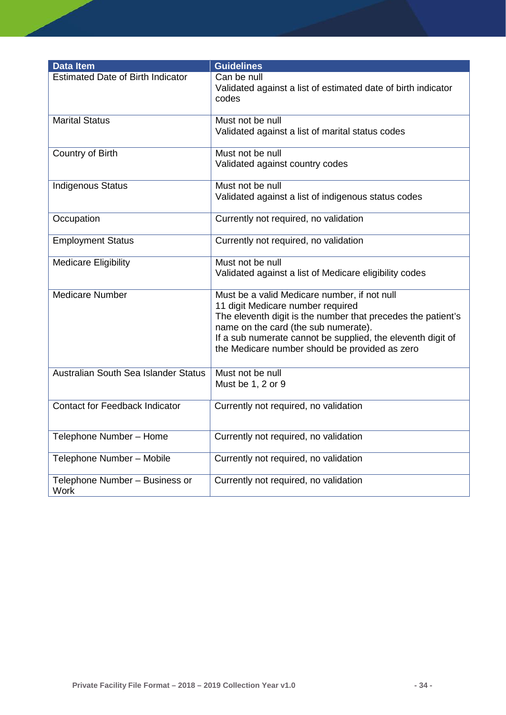| <b>Data Item</b>                         | <b>Guidelines</b>                                                                                                                                                                                                                                                                                          |
|------------------------------------------|------------------------------------------------------------------------------------------------------------------------------------------------------------------------------------------------------------------------------------------------------------------------------------------------------------|
| <b>Estimated Date of Birth Indicator</b> | Can be null<br>Validated against a list of estimated date of birth indicator<br>codes                                                                                                                                                                                                                      |
| <b>Marital Status</b>                    | Must not be null<br>Validated against a list of marital status codes                                                                                                                                                                                                                                       |
| Country of Birth                         | Must not be null<br>Validated against country codes                                                                                                                                                                                                                                                        |
| <b>Indigenous Status</b>                 | Must not be null<br>Validated against a list of indigenous status codes                                                                                                                                                                                                                                    |
| Occupation                               | Currently not required, no validation                                                                                                                                                                                                                                                                      |
| <b>Employment Status</b>                 | Currently not required, no validation                                                                                                                                                                                                                                                                      |
| <b>Medicare Eligibility</b>              | Must not be null<br>Validated against a list of Medicare eligibility codes                                                                                                                                                                                                                                 |
| <b>Medicare Number</b>                   | Must be a valid Medicare number, if not null<br>11 digit Medicare number required<br>The eleventh digit is the number that precedes the patient's<br>name on the card (the sub numerate).<br>If a sub numerate cannot be supplied, the eleventh digit of<br>the Medicare number should be provided as zero |
| Australian South Sea Islander Status     | Must not be null<br>Must be 1, 2 or 9                                                                                                                                                                                                                                                                      |
| <b>Contact for Feedback Indicator</b>    | Currently not required, no validation                                                                                                                                                                                                                                                                      |
| Telephone Number - Home                  | Currently not required, no validation                                                                                                                                                                                                                                                                      |
| Telephone Number - Mobile                | Currently not required, no validation                                                                                                                                                                                                                                                                      |
| Telephone Number - Business or<br>Work   | Currently not required, no validation                                                                                                                                                                                                                                                                      |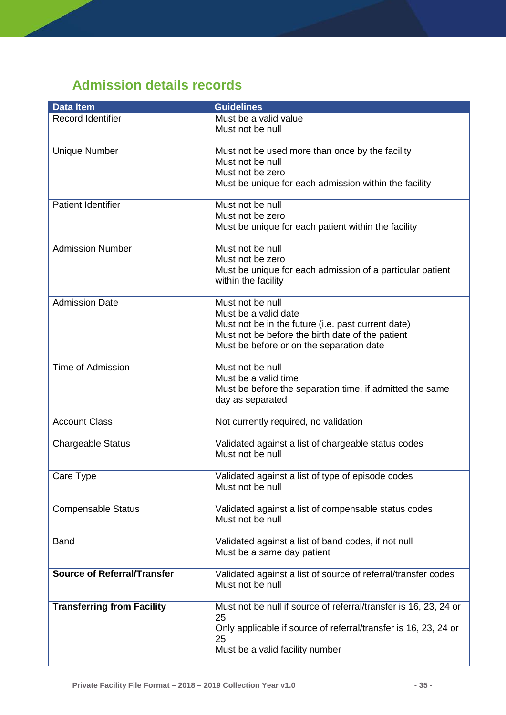# <span id="page-35-0"></span>**Admission details records**

| <b>Data Item</b>                   | <b>Guidelines</b>                                                       |
|------------------------------------|-------------------------------------------------------------------------|
| Record Identifier                  | Must be a valid value                                                   |
|                                    | Must not be null                                                        |
|                                    |                                                                         |
| <b>Unique Number</b>               | Must not be used more than once by the facility                         |
|                                    | Must not be null                                                        |
|                                    | Must not be zero                                                        |
|                                    | Must be unique for each admission within the facility                   |
|                                    |                                                                         |
| <b>Patient Identifier</b>          | Must not be null                                                        |
|                                    | Must not be zero                                                        |
|                                    | Must be unique for each patient within the facility                     |
|                                    |                                                                         |
| <b>Admission Number</b>            | Must not be null                                                        |
|                                    | Must not be zero                                                        |
|                                    | Must be unique for each admission of a particular patient               |
|                                    | within the facility                                                     |
|                                    |                                                                         |
| <b>Admission Date</b>              | Must not be null                                                        |
|                                    | Must be a valid date                                                    |
|                                    | Must not be in the future (i.e. past current date)                      |
|                                    | Must not be before the birth date of the patient                        |
|                                    | Must be before or on the separation date                                |
|                                    |                                                                         |
| <b>Time of Admission</b>           | Must not be null                                                        |
|                                    | Must be a valid time                                                    |
|                                    | Must be before the separation time, if admitted the same                |
|                                    | day as separated                                                        |
|                                    |                                                                         |
| <b>Account Class</b>               | Not currently required, no validation                                   |
|                                    |                                                                         |
| <b>Chargeable Status</b>           | Validated against a list of chargeable status codes<br>Must not be null |
|                                    |                                                                         |
|                                    |                                                                         |
| Care Type                          | Validated against a list of type of episode codes<br>Must not be null   |
|                                    |                                                                         |
| <b>Compensable Status</b>          | Validated against a list of compensable status codes                    |
|                                    | Must not be null                                                        |
|                                    |                                                                         |
| <b>Band</b>                        | Validated against a list of band codes, if not null                     |
|                                    | Must be a same day patient                                              |
|                                    |                                                                         |
| <b>Source of Referral/Transfer</b> | Validated against a list of source of referral/transfer codes           |
|                                    | Must not be null                                                        |
|                                    |                                                                         |
| <b>Transferring from Facility</b>  | Must not be null if source of referral/transfer is 16, 23, 24 or        |
|                                    | 25                                                                      |
|                                    | Only applicable if source of referral/transfer is 16, 23, 24 or         |
|                                    | 25                                                                      |
|                                    | Must be a valid facility number                                         |
|                                    |                                                                         |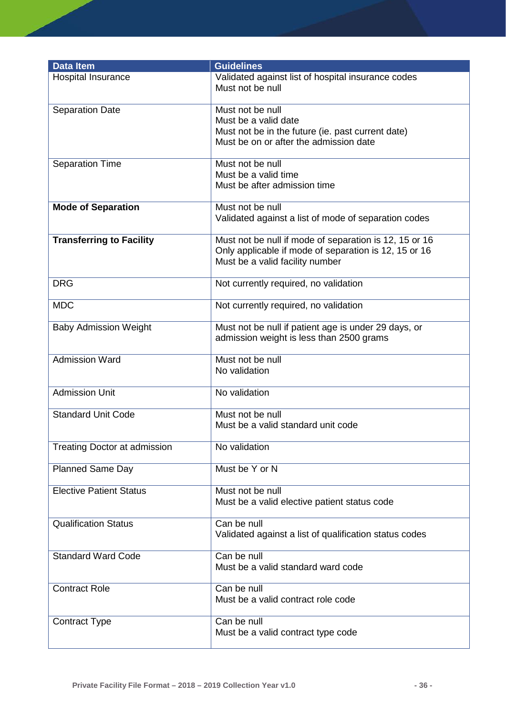| <b>Data Item</b>                    | <b>Guidelines</b>                                                                                                                                  |
|-------------------------------------|----------------------------------------------------------------------------------------------------------------------------------------------------|
| <b>Hospital Insurance</b>           | Validated against list of hospital insurance codes<br>Must not be null                                                                             |
| <b>Separation Date</b>              | Must not be null<br>Must be a valid date<br>Must not be in the future (ie. past current date)<br>Must be on or after the admission date            |
| <b>Separation Time</b>              | Must not be null<br>Must be a valid time<br>Must be after admission time                                                                           |
| <b>Mode of Separation</b>           | Must not be null<br>Validated against a list of mode of separation codes                                                                           |
| <b>Transferring to Facility</b>     | Must not be null if mode of separation is 12, 15 or 16<br>Only applicable if mode of separation is 12, 15 or 16<br>Must be a valid facility number |
| <b>DRG</b>                          | Not currently required, no validation                                                                                                              |
| <b>MDC</b>                          | Not currently required, no validation                                                                                                              |
| <b>Baby Admission Weight</b>        | Must not be null if patient age is under 29 days, or<br>admission weight is less than 2500 grams                                                   |
| <b>Admission Ward</b>               | Must not be null<br>No validation                                                                                                                  |
| Admission Unit                      | No validation                                                                                                                                      |
| <b>Standard Unit Code</b>           | Must not be null<br>Must be a valid standard unit code                                                                                             |
| <b>Treating Doctor at admission</b> | No validation                                                                                                                                      |
| <b>Planned Same Day</b>             | Must be Y or N                                                                                                                                     |
| <b>Elective Patient Status</b>      | Must not be null<br>Must be a valid elective patient status code                                                                                   |
| <b>Qualification Status</b>         | Can be null<br>Validated against a list of qualification status codes                                                                              |
| <b>Standard Ward Code</b>           | Can be null<br>Must be a valid standard ward code                                                                                                  |
| <b>Contract Role</b>                | Can be null<br>Must be a valid contract role code                                                                                                  |
| <b>Contract Type</b>                | Can be null<br>Must be a valid contract type code                                                                                                  |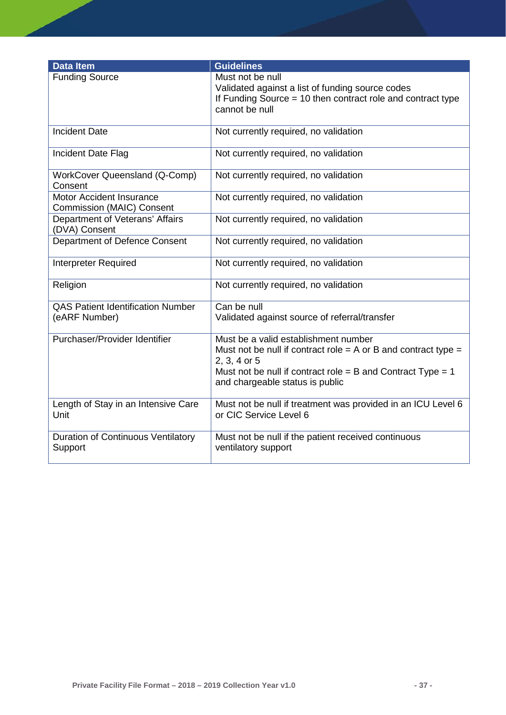| <b>Data Item</b>                                                    | <b>Guidelines</b>                                                                                                                                                                                                          |
|---------------------------------------------------------------------|----------------------------------------------------------------------------------------------------------------------------------------------------------------------------------------------------------------------------|
| <b>Funding Source</b>                                               | Must not be null<br>Validated against a list of funding source codes<br>If Funding Source $= 10$ then contract role and contract type<br>cannot be null                                                                    |
| <b>Incident Date</b>                                                | Not currently required, no validation                                                                                                                                                                                      |
| Incident Date Flag                                                  | Not currently required, no validation                                                                                                                                                                                      |
| <b>WorkCover Queensland (Q-Comp)</b><br>Consent                     | Not currently required, no validation                                                                                                                                                                                      |
| <b>Motor Accident Insurance</b><br><b>Commission (MAIC) Consent</b> | Not currently required, no validation                                                                                                                                                                                      |
| Department of Veterans' Affairs<br>(DVA) Consent                    | Not currently required, no validation                                                                                                                                                                                      |
| Department of Defence Consent                                       | Not currently required, no validation                                                                                                                                                                                      |
| <b>Interpreter Required</b>                                         | Not currently required, no validation                                                                                                                                                                                      |
| Religion                                                            | Not currently required, no validation                                                                                                                                                                                      |
| <b>QAS Patient Identification Number</b><br>(eARF Number)           | Can be null<br>Validated against source of referral/transfer                                                                                                                                                               |
| Purchaser/Provider Identifier                                       | Must be a valid establishment number<br>Must not be null if contract role = A or B and contract type =<br>2, 3, 4 or 5<br>Must not be null if contract role = B and Contract Type = $1$<br>and chargeable status is public |
| Length of Stay in an Intensive Care<br>Unit                         | Must not be null if treatment was provided in an ICU Level 6<br>or CIC Service Level 6                                                                                                                                     |
| <b>Duration of Continuous Ventilatory</b><br>Support                | Must not be null if the patient received continuous<br>ventilatory support                                                                                                                                                 |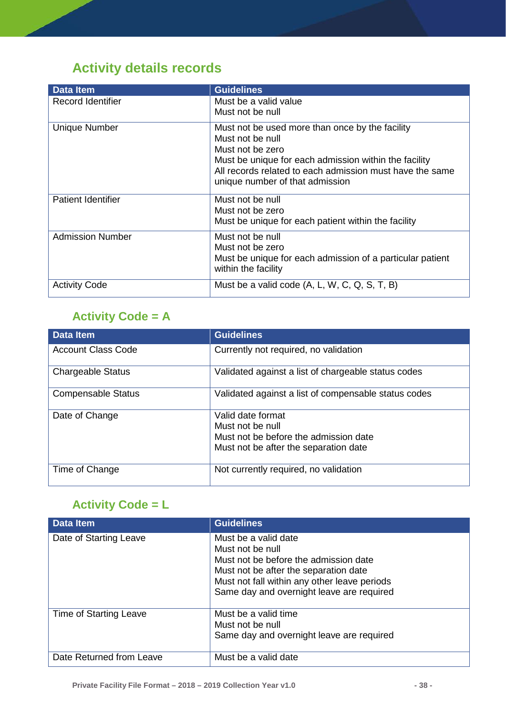# <span id="page-38-0"></span>**Activity details records**

| <b>Data Item</b>          | <b>Guidelines</b>                                                                                                                                                                                                                               |
|---------------------------|-------------------------------------------------------------------------------------------------------------------------------------------------------------------------------------------------------------------------------------------------|
| Record Identifier         | Must be a valid value<br>Must not be null                                                                                                                                                                                                       |
| <b>Unique Number</b>      | Must not be used more than once by the facility<br>Must not be null<br>Must not be zero<br>Must be unique for each admission within the facility<br>All records related to each admission must have the same<br>unique number of that admission |
| <b>Patient Identifier</b> | Must not be null<br>Must not be zero<br>Must be unique for each patient within the facility                                                                                                                                                     |
| <b>Admission Number</b>   | Must not be null<br>Must not be zero<br>Must be unique for each admission of a particular patient<br>within the facility                                                                                                                        |
| <b>Activity Code</b>      | Must be a valid code (A, L, W, C, Q, S, T, B)                                                                                                                                                                                                   |

# <span id="page-38-1"></span>**Activity Code = A**

| <b>Data Item</b>          | <b>Guidelines</b>                                    |
|---------------------------|------------------------------------------------------|
| <b>Account Class Code</b> | Currently not required, no validation                |
| <b>Chargeable Status</b>  | Validated against a list of chargeable status codes  |
| <b>Compensable Status</b> | Validated against a list of compensable status codes |
| Date of Change            | Valid date format                                    |
|                           | Must not be null                                     |
|                           | Must not be before the admission date                |
|                           | Must not be after the separation date                |
| Time of Change            | Not currently required, no validation                |

## <span id="page-38-2"></span>**Activity Code = L**

| <b>Data Item</b>         | <b>Guidelines</b>                                                                                                                                                                                                       |
|--------------------------|-------------------------------------------------------------------------------------------------------------------------------------------------------------------------------------------------------------------------|
| Date of Starting Leave   | Must be a valid date<br>Must not be null<br>Must not be before the admission date<br>Must not be after the separation date<br>Must not fall within any other leave periods<br>Same day and overnight leave are required |
| Time of Starting Leave   | Must be a valid time<br>Must not be null<br>Same day and overnight leave are required                                                                                                                                   |
| Date Returned from Leave | Must be a valid date                                                                                                                                                                                                    |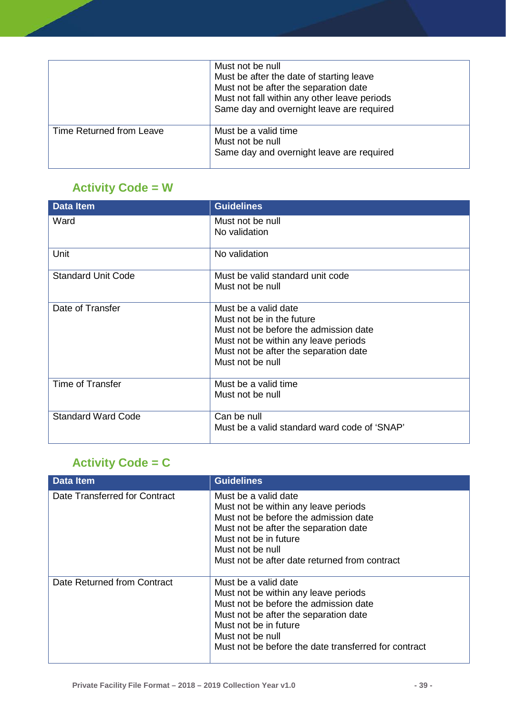|                          | Must not be null<br>Must be after the date of starting leave<br>Must not be after the separation date<br>Must not fall within any other leave periods<br>Same day and overnight leave are required |
|--------------------------|----------------------------------------------------------------------------------------------------------------------------------------------------------------------------------------------------|
| Time Returned from Leave | Must be a valid time<br>Must not be null<br>Same day and overnight leave are required                                                                                                              |

# <span id="page-39-0"></span>**Activity Code = W**

| <b>Data Item</b>          | <b>Guidelines</b>                                                                                                                                                                               |
|---------------------------|-------------------------------------------------------------------------------------------------------------------------------------------------------------------------------------------------|
| Ward                      | Must not be null<br>No validation                                                                                                                                                               |
| Unit                      | No validation                                                                                                                                                                                   |
| <b>Standard Unit Code</b> | Must be valid standard unit code<br>Must not be null                                                                                                                                            |
| Date of Transfer          | Must be a valid date<br>Must not be in the future<br>Must not be before the admission date<br>Must not be within any leave periods<br>Must not be after the separation date<br>Must not be null |
| Time of Transfer          | Must be a valid time<br>Must not be null                                                                                                                                                        |
| <b>Standard Ward Code</b> | Can be null<br>Must be a valid standard ward code of 'SNAP'                                                                                                                                     |

# <span id="page-39-1"></span>**Activity Code = C**

| <b>Data Item</b>              | <b>Guidelines</b>                                                                                                                                                                                                                                   |
|-------------------------------|-----------------------------------------------------------------------------------------------------------------------------------------------------------------------------------------------------------------------------------------------------|
| Date Transferred for Contract | Must be a valid date<br>Must not be within any leave periods<br>Must not be before the admission date<br>Must not be after the separation date<br>Must not be in future<br>Must not be null<br>Must not be after date returned from contract        |
| Date Returned from Contract   | Must be a valid date<br>Must not be within any leave periods<br>Must not be before the admission date<br>Must not be after the separation date<br>Must not be in future<br>Must not be null<br>Must not be before the date transferred for contract |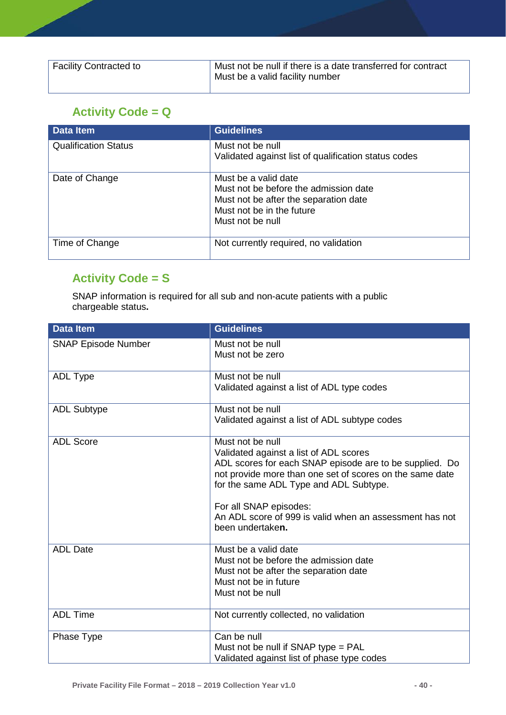| Facility Contracted to | Must not be null if there is a date transferred for contract<br>Must be a valid facility number |
|------------------------|-------------------------------------------------------------------------------------------------|
|                        |                                                                                                 |

# <span id="page-40-0"></span>**Activity Code = Q**

| <b>Data Item</b>            | <b>Guidelines</b>                                                                                                                                       |
|-----------------------------|---------------------------------------------------------------------------------------------------------------------------------------------------------|
| <b>Qualification Status</b> | Must not be null<br>Validated against list of qualification status codes                                                                                |
| Date of Change              | Must be a valid date<br>Must not be before the admission date<br>Must not be after the separation date<br>Must not be in the future<br>Must not be null |
| Time of Change              | Not currently required, no validation                                                                                                                   |

# <span id="page-40-1"></span>**Activity Code = S**

SNAP information is required for all sub and non-acute patients with a public chargeable status**.**

| <b>Data Item</b>           | <b>Guidelines</b>                                                                                                                                                                                                                                                                                                                    |
|----------------------------|--------------------------------------------------------------------------------------------------------------------------------------------------------------------------------------------------------------------------------------------------------------------------------------------------------------------------------------|
| <b>SNAP Episode Number</b> | Must not be null<br>Must not be zero                                                                                                                                                                                                                                                                                                 |
| <b>ADL Type</b>            | Must not be null<br>Validated against a list of ADL type codes                                                                                                                                                                                                                                                                       |
| <b>ADL Subtype</b>         | Must not be null<br>Validated against a list of ADL subtype codes                                                                                                                                                                                                                                                                    |
| <b>ADL Score</b>           | Must not be null<br>Validated against a list of ADL scores<br>ADL scores for each SNAP episode are to be supplied. Do<br>not provide more than one set of scores on the same date<br>for the same ADL Type and ADL Subtype.<br>For all SNAP episodes:<br>An ADL score of 999 is valid when an assessment has not<br>been undertaken. |
| <b>ADL Date</b>            | Must be a valid date<br>Must not be before the admission date<br>Must not be after the separation date<br>Must not be in future<br>Must not be null                                                                                                                                                                                  |
| <b>ADL Time</b>            | Not currently collected, no validation                                                                                                                                                                                                                                                                                               |
| Phase Type                 | Can be null<br>Must not be null if SNAP type = PAL<br>Validated against list of phase type codes                                                                                                                                                                                                                                     |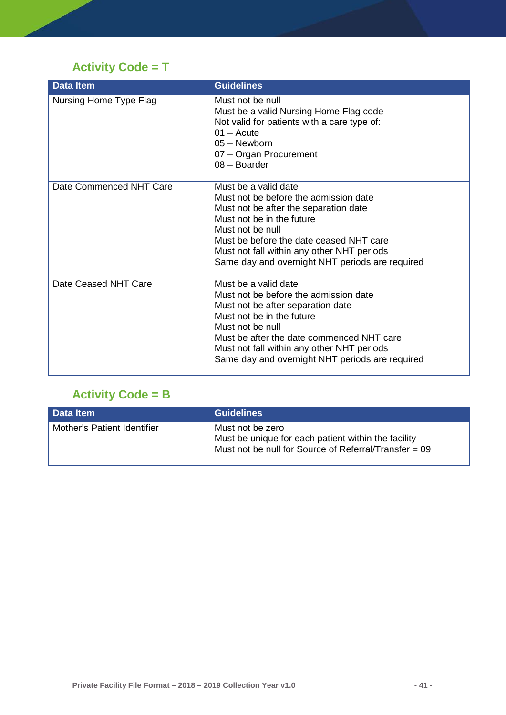# <span id="page-41-0"></span>**Activity Code = T**

| <b>Data Item</b>        | <b>Guidelines</b>                                                                                                                                                                                                                                                                                   |
|-------------------------|-----------------------------------------------------------------------------------------------------------------------------------------------------------------------------------------------------------------------------------------------------------------------------------------------------|
| Nursing Home Type Flag  | Must not be null<br>Must be a valid Nursing Home Flag code<br>Not valid for patients with a care type of:<br>$01 -$ Acute<br>05 - Newborn<br>07 - Organ Procurement<br>08 - Boarder                                                                                                                 |
| Date Commenced NHT Care | Must be a valid date<br>Must not be before the admission date<br>Must not be after the separation date<br>Must not be in the future<br>Must not be null<br>Must be before the date ceased NHT care<br>Must not fall within any other NHT periods<br>Same day and overnight NHT periods are required |
| Date Ceased NHT Care    | Must be a valid date<br>Must not be before the admission date<br>Must not be after separation date<br>Must not be in the future<br>Must not be null<br>Must be after the date commenced NHT care<br>Must not fall within any other NHT periods<br>Same day and overnight NHT periods are required   |

# <span id="page-41-1"></span>**Activity Code = B**

| Data Item                   | Guidelines                                                                                                                       |
|-----------------------------|----------------------------------------------------------------------------------------------------------------------------------|
| Mother's Patient Identifier | Must not be zero<br>Must be unique for each patient within the facility<br>Must not be null for Source of Referral/Transfer = 09 |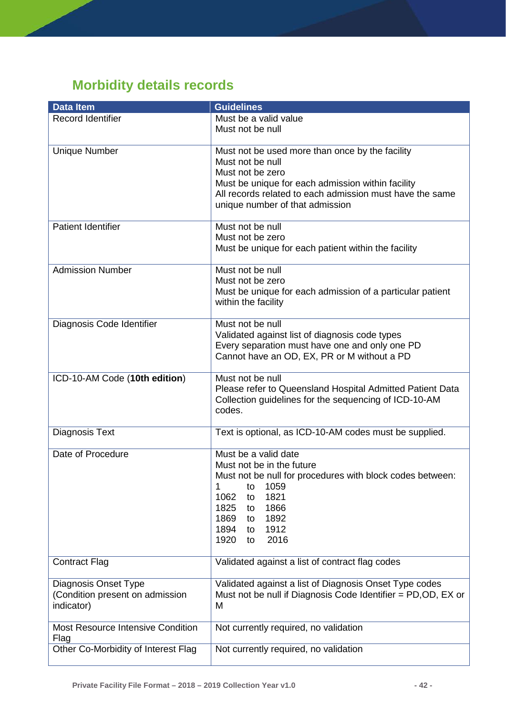# <span id="page-42-0"></span>**Morbidity details records**

| <b>Data Item</b>                          | <b>Guidelines</b>                                                                                                                            |
|-------------------------------------------|----------------------------------------------------------------------------------------------------------------------------------------------|
| <b>Record Identifier</b>                  | Must be a valid value                                                                                                                        |
|                                           | Must not be null                                                                                                                             |
| <b>Unique Number</b>                      | Must not be used more than once by the facility<br>Must not be null<br>Must not be zero<br>Must be unique for each admission within facility |
|                                           | All records related to each admission must have the same<br>unique number of that admission                                                  |
| <b>Patient Identifier</b>                 | Must not be null<br>Must not be zero<br>Must be unique for each patient within the facility                                                  |
|                                           |                                                                                                                                              |
| <b>Admission Number</b>                   | Must not be null                                                                                                                             |
|                                           | Must not be zero                                                                                                                             |
|                                           | Must be unique for each admission of a particular patient<br>within the facility                                                             |
| Diagnosis Code Identifier                 | Must not be null                                                                                                                             |
|                                           | Validated against list of diagnosis code types                                                                                               |
|                                           | Every separation must have one and only one PD                                                                                               |
|                                           | Cannot have an OD, EX, PR or M without a PD                                                                                                  |
| ICD-10-AM Code (10th edition)             | Must not be null                                                                                                                             |
|                                           | Please refer to Queensland Hospital Admitted Patient Data<br>Collection guidelines for the sequencing of ICD-10-AM<br>codes.                 |
| Diagnosis Text                            | Text is optional, as ICD-10-AM codes must be supplied.                                                                                       |
| Date of Procedure                         | Must be a valid date                                                                                                                         |
|                                           | Must not be in the future                                                                                                                    |
|                                           | Must not be null for procedures with block codes between:                                                                                    |
|                                           | 1059<br>1<br>to<br>1821<br>1062<br>to                                                                                                        |
|                                           | 1825<br>1866<br>to                                                                                                                           |
|                                           | 1869<br>1892<br>to                                                                                                                           |
|                                           | 1894<br>1912<br>to                                                                                                                           |
|                                           | 1920<br>2016<br>to                                                                                                                           |
| <b>Contract Flag</b>                      | Validated against a list of contract flag codes                                                                                              |
| <b>Diagnosis Onset Type</b>               | Validated against a list of Diagnosis Onset Type codes                                                                                       |
| (Condition present on admission           | Must not be null if Diagnosis Code Identifier = PD,OD, EX or                                                                                 |
| indicator)                                | M                                                                                                                                            |
| Most Resource Intensive Condition<br>Flag | Not currently required, no validation                                                                                                        |
| Other Co-Morbidity of Interest Flag       | Not currently required, no validation                                                                                                        |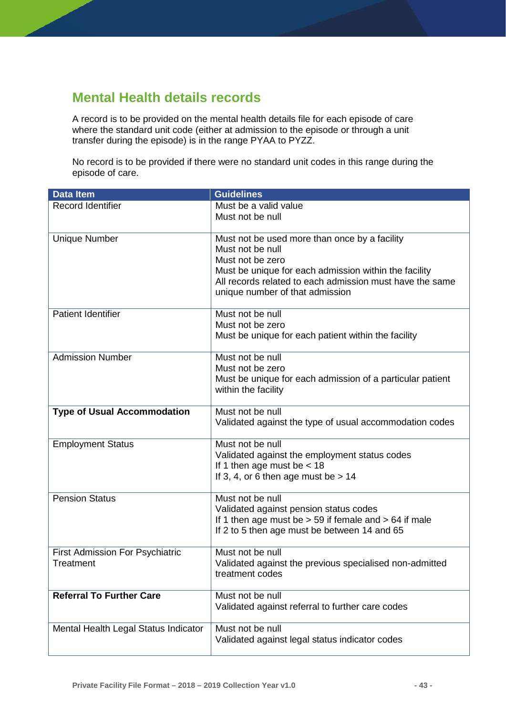# <span id="page-43-0"></span>**Mental Health details records**

A record is to be provided on the mental health details file for each episode of care where the standard unit code (either at admission to the episode or through a unit transfer during the episode) is in the range PYAA to PYZZ.

No record is to be provided if there were no standard unit codes in this range during the episode of care.

| <b>Data Item</b>                                    | <b>Guidelines</b>                                                                                                                                                                                                                             |
|-----------------------------------------------------|-----------------------------------------------------------------------------------------------------------------------------------------------------------------------------------------------------------------------------------------------|
| <b>Record Identifier</b>                            | Must be a valid value<br>Must not be null                                                                                                                                                                                                     |
| <b>Unique Number</b>                                | Must not be used more than once by a facility<br>Must not be null<br>Must not be zero<br>Must be unique for each admission within the facility<br>All records related to each admission must have the same<br>unique number of that admission |
| <b>Patient Identifier</b>                           | Must not be null<br>Must not be zero<br>Must be unique for each patient within the facility                                                                                                                                                   |
| <b>Admission Number</b>                             | Must not be null<br>Must not be zero<br>Must be unique for each admission of a particular patient<br>within the facility                                                                                                                      |
| <b>Type of Usual Accommodation</b>                  | Must not be null<br>Validated against the type of usual accommodation codes                                                                                                                                                                   |
| <b>Employment Status</b>                            | Must not be null<br>Validated against the employment status codes<br>If 1 then age must be $<$ 18<br>If 3, 4, or 6 then age must be $> 14$                                                                                                    |
| <b>Pension Status</b>                               | Must not be null<br>Validated against pension status codes<br>If 1 then age must be $> 59$ if female and $> 64$ if male<br>If 2 to 5 then age must be between 14 and 65                                                                       |
| <b>First Admission For Psychiatric</b><br>Treatment | Must not be null<br>Validated against the previous specialised non-admitted<br>treatment codes                                                                                                                                                |
| <b>Referral To Further Care</b>                     | Must not be null<br>Validated against referral to further care codes                                                                                                                                                                          |
| Mental Health Legal Status Indicator                | Must not be null<br>Validated against legal status indicator codes                                                                                                                                                                            |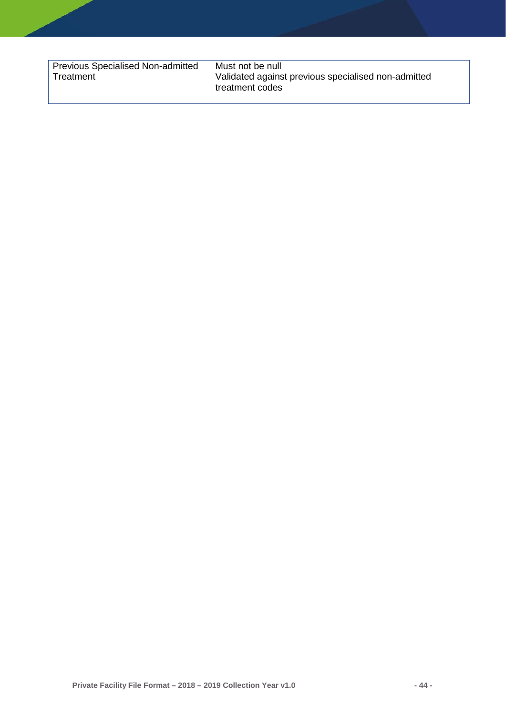| Previous Specialised Non-admitted<br>Treatment | Must not be null<br>Validated against previous specialised non-admitted<br>treatment codes |
|------------------------------------------------|--------------------------------------------------------------------------------------------|
|------------------------------------------------|--------------------------------------------------------------------------------------------|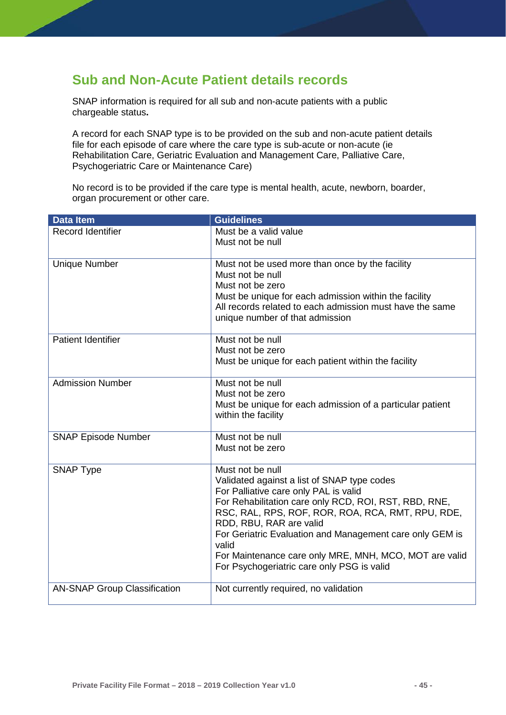## <span id="page-45-0"></span>**Sub and Non-Acute Patient details records**

SNAP information is required for all sub and non-acute patients with a public chargeable status**.**

A record for each SNAP type is to be provided on the sub and non-acute patient details file for each episode of care where the care type is sub-acute or non-acute (ie Rehabilitation Care, Geriatric Evaluation and Management Care, Palliative Care, Psychogeriatric Care or Maintenance Care)

No record is to be provided if the care type is mental health, acute, newborn, boarder, organ procurement or other care.

| <b>Data Item</b>                    | <b>Guidelines</b>                                                   |
|-------------------------------------|---------------------------------------------------------------------|
| Record Identifier                   | Must be a valid value                                               |
|                                     | Must not be null                                                    |
|                                     |                                                                     |
| <b>Unique Number</b>                | Must not be used more than once by the facility<br>Must not be null |
|                                     | Must not be zero                                                    |
|                                     | Must be unique for each admission within the facility               |
|                                     | All records related to each admission must have the same            |
|                                     | unique number of that admission                                     |
|                                     |                                                                     |
| <b>Patient Identifier</b>           | Must not be null                                                    |
|                                     | Must not be zero                                                    |
|                                     | Must be unique for each patient within the facility                 |
| <b>Admission Number</b>             | Must not be null                                                    |
|                                     | Must not be zero                                                    |
|                                     | Must be unique for each admission of a particular patient           |
|                                     | within the facility                                                 |
|                                     |                                                                     |
| <b>SNAP Episode Number</b>          | Must not be null                                                    |
|                                     | Must not be zero                                                    |
| <b>SNAP Type</b>                    | Must not be null                                                    |
|                                     | Validated against a list of SNAP type codes                         |
|                                     | For Palliative care only PAL is valid                               |
|                                     | For Rehabilitation care only RCD, ROI, RST, RBD, RNE,               |
|                                     | RSC, RAL, RPS, ROF, ROR, ROA, RCA, RMT, RPU, RDE,                   |
|                                     | RDD, RBU, RAR are valid                                             |
|                                     | For Geriatric Evaluation and Management care only GEM is<br>valid   |
|                                     | For Maintenance care only MRE, MNH, MCO, MOT are valid              |
|                                     | For Psychogeriatric care only PSG is valid                          |
| <b>AN-SNAP Group Classification</b> | Not currently required, no validation                               |
|                                     |                                                                     |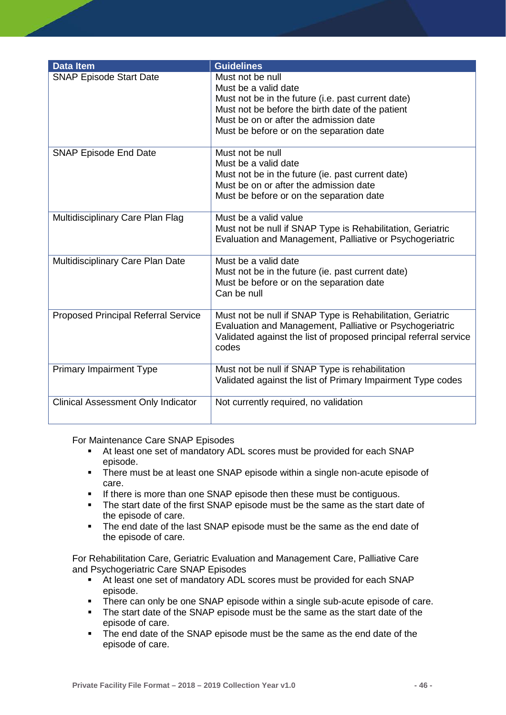| <b>Data Item</b>                           | <b>Guidelines</b>                                                 |
|--------------------------------------------|-------------------------------------------------------------------|
| <b>SNAP Episode Start Date</b>             | Must not be null                                                  |
|                                            | Must be a valid date                                              |
|                                            | Must not be in the future (i.e. past current date)                |
|                                            | Must not be before the birth date of the patient                  |
|                                            | Must be on or after the admission date                            |
|                                            |                                                                   |
|                                            | Must be before or on the separation date                          |
| <b>SNAP Episode End Date</b>               | Must not be null                                                  |
|                                            | Must be a valid date                                              |
|                                            | Must not be in the future (ie. past current date)                 |
|                                            | Must be on or after the admission date                            |
|                                            | Must be before or on the separation date                          |
|                                            |                                                                   |
| Multidisciplinary Care Plan Flag           | Must be a valid value                                             |
|                                            | Must not be null if SNAP Type is Rehabilitation, Geriatric        |
|                                            | Evaluation and Management, Palliative or Psychogeriatric          |
|                                            |                                                                   |
| Multidisciplinary Care Plan Date           | Must be a valid date                                              |
|                                            | Must not be in the future (ie. past current date)                 |
|                                            | Must be before or on the separation date                          |
|                                            | Can be null                                                       |
| <b>Proposed Principal Referral Service</b> | Must not be null if SNAP Type is Rehabilitation, Geriatric        |
|                                            | Evaluation and Management, Palliative or Psychogeriatric          |
|                                            | Validated against the list of proposed principal referral service |
|                                            | codes                                                             |
|                                            |                                                                   |
| <b>Primary Impairment Type</b>             | Must not be null if SNAP Type is rehabilitation                   |
|                                            | Validated against the list of Primary Impairment Type codes       |
|                                            |                                                                   |
| <b>Clinical Assessment Only Indicator</b>  | Not currently required, no validation                             |
|                                            |                                                                   |

For Maintenance Care SNAP Episodes

- At least one set of mandatory ADL scores must be provided for each SNAP episode.
- **There must be at least one SNAP episode within a single non-acute episode of** care.
- **If there is more than one SNAP episode then these must be contiguous.**
- The start date of the first SNAP episode must be the same as the start date of the episode of care.
- The end date of the last SNAP episode must be the same as the end date of the episode of care.

For Rehabilitation Care, Geriatric Evaluation and Management Care, Palliative Care and Psychogeriatric Care SNAP Episodes

- At least one set of mandatory ADL scores must be provided for each SNAP episode.
- **There can only be one SNAP episode within a single sub-acute episode of care.**
- The start date of the SNAP episode must be the same as the start date of the episode of care.
- The end date of the SNAP episode must be the same as the end date of the episode of care.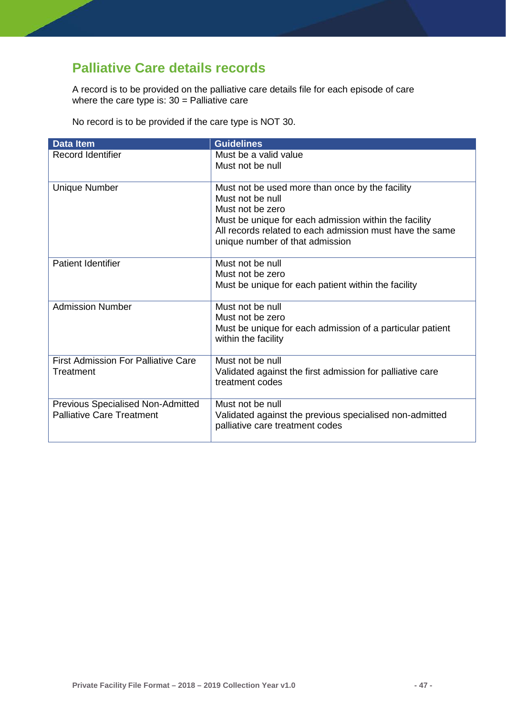# <span id="page-47-0"></span>**Palliative Care details records**

A record is to be provided on the palliative care details file for each episode of care where the care type is: 30 = Palliative care

No record is to be provided if the care type is NOT 30.

| <b>Data Item</b>                           | <b>Guidelines</b>                                                                                                                                                                                                                               |
|--------------------------------------------|-------------------------------------------------------------------------------------------------------------------------------------------------------------------------------------------------------------------------------------------------|
| Record Identifier                          | Must be a valid value                                                                                                                                                                                                                           |
|                                            | Must not be null                                                                                                                                                                                                                                |
| <b>Unique Number</b>                       | Must not be used more than once by the facility<br>Must not be null<br>Must not be zero<br>Must be unique for each admission within the facility<br>All records related to each admission must have the same<br>unique number of that admission |
| <b>Patient Identifier</b>                  | Must not be null                                                                                                                                                                                                                                |
|                                            | Must not be zero                                                                                                                                                                                                                                |
|                                            | Must be unique for each patient within the facility                                                                                                                                                                                             |
| <b>Admission Number</b>                    | Must not be null                                                                                                                                                                                                                                |
|                                            | Must not be zero                                                                                                                                                                                                                                |
|                                            | Must be unique for each admission of a particular patient<br>within the facility                                                                                                                                                                |
| <b>First Admission For Palliative Care</b> | Must not be null                                                                                                                                                                                                                                |
| Treatment                                  | Validated against the first admission for palliative care<br>treatment codes                                                                                                                                                                    |
| <b>Previous Specialised Non-Admitted</b>   | Must not be null                                                                                                                                                                                                                                |
| <b>Palliative Care Treatment</b>           | Validated against the previous specialised non-admitted<br>palliative care treatment codes                                                                                                                                                      |
|                                            |                                                                                                                                                                                                                                                 |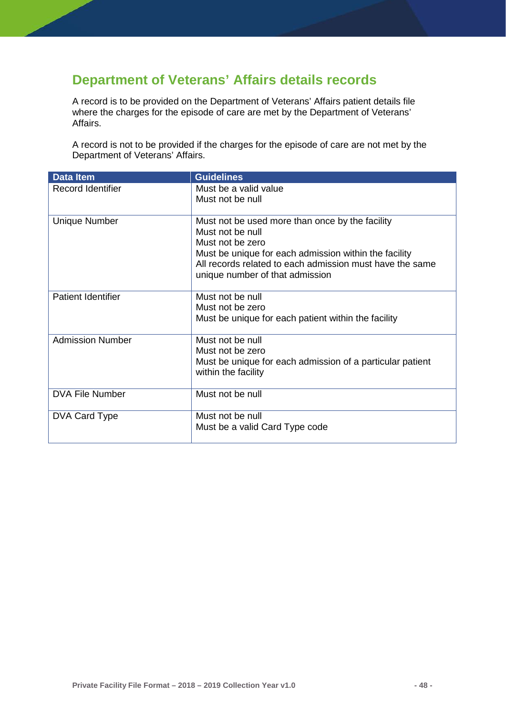# <span id="page-48-0"></span>**Department of Veterans' Affairs details records**

A record is to be provided on the Department of Veterans' Affairs patient details file where the charges for the episode of care are met by the Department of Veterans' Affairs.

A record is not to be provided if the charges for the episode of care are not met by the Department of Veterans' Affairs.

| <b>Data Item</b>          | <b>Guidelines</b>                                                   |
|---------------------------|---------------------------------------------------------------------|
| <b>Record Identifier</b>  | Must be a valid value                                               |
|                           | Must not be null                                                    |
|                           |                                                                     |
| <b>Unique Number</b>      | Must not be used more than once by the facility<br>Must not be null |
|                           | Must not be zero                                                    |
|                           | Must be unique for each admission within the facility               |
|                           | All records related to each admission must have the same            |
|                           | unique number of that admission                                     |
|                           |                                                                     |
| <b>Patient Identifier</b> | Must not be null                                                    |
|                           | Must not be zero                                                    |
|                           | Must be unique for each patient within the facility                 |
|                           |                                                                     |
| <b>Admission Number</b>   | Must not be null<br>Must not be zero                                |
|                           | Must be unique for each admission of a particular patient           |
|                           | within the facility                                                 |
|                           |                                                                     |
| <b>DVA File Number</b>    | Must not be null                                                    |
|                           |                                                                     |
| DVA Card Type             | Must not be null                                                    |
|                           | Must be a valid Card Type code                                      |
|                           |                                                                     |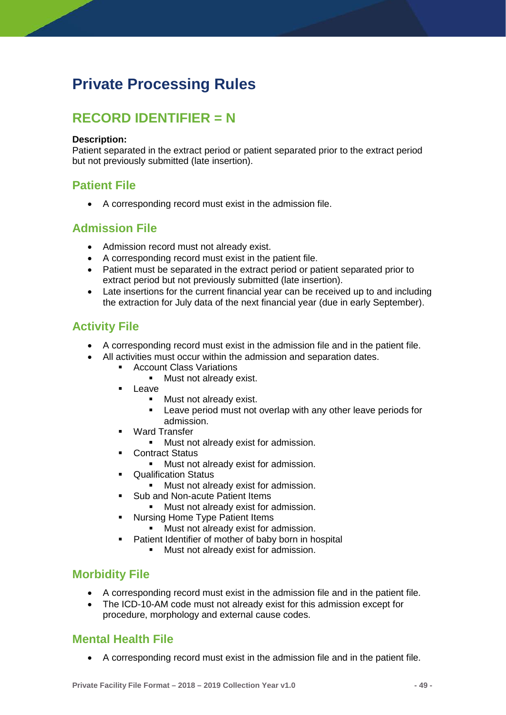# <span id="page-49-0"></span>**Private Processing Rules**

# <span id="page-49-1"></span>**RECORD IDENTIFIER = N**

#### **Description:**

Patient separated in the extract period or patient separated prior to the extract period but not previously submitted (late insertion).

### <span id="page-49-2"></span>**Patient File**

• A corresponding record must exist in the admission file.

### <span id="page-49-3"></span>**Admission File**

- Admission record must not already exist.
- A corresponding record must exist in the patient file.
- Patient must be separated in the extract period or patient separated prior to extract period but not previously submitted (late insertion).
- Late insertions for the current financial year can be received up to and including the extraction for July data of the next financial year (due in early September).

### <span id="page-49-4"></span>**Activity File**

- A corresponding record must exist in the admission file and in the patient file.
- All activities must occur within the admission and separation dates.
	- **Account Class Variations** 
		- **Must not already exist.**
	- $L$ eave
		- **Must not already exist.**
		- **EXECT** Leave period must not overlap with any other leave periods for admission.
	- Ward Transfer
		- **Must not already exist for admission.**
	- Contract Status
		- **Must not already exist for admission.**
	- **•** Qualification Status
		- **Must not already exist for admission.**
	- Sub and Non-acute Patient Items
		- **Must not already exist for admission.**
	- Nursing Home Type Patient Items
		- **Must not already exist for admission.**
	- Patient Identifier of mother of baby born in hospital
		- **Must not already exist for admission.**

### <span id="page-49-5"></span>**Morbidity File**

- A corresponding record must exist in the admission file and in the patient file.
- The ICD-10-AM code must not already exist for this admission except for procedure, morphology and external cause codes.

#### <span id="page-49-6"></span>**Mental Health File**

• A corresponding record must exist in the admission file and in the patient file.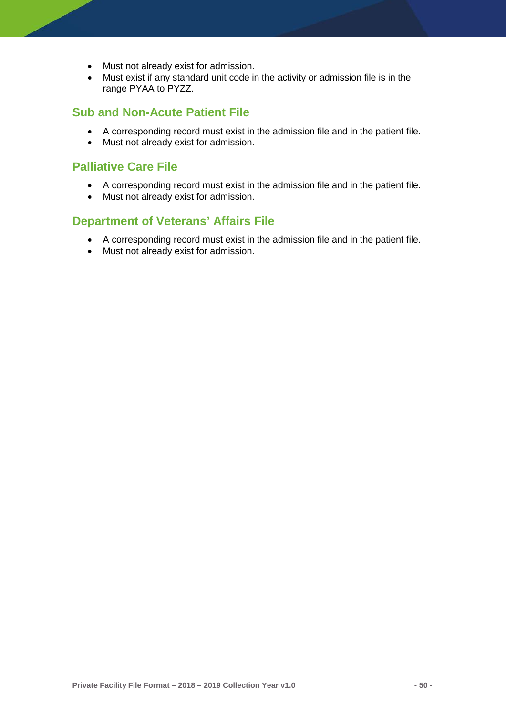- Must not already exist for admission.
- Must exist if any standard unit code in the activity or admission file is in the range PYAA to PYZZ.

#### <span id="page-50-0"></span>**Sub and Non-Acute Patient File**

- A corresponding record must exist in the admission file and in the patient file.
- Must not already exist for admission.

#### <span id="page-50-1"></span>**Palliative Care File**

- A corresponding record must exist in the admission file and in the patient file.
- Must not already exist for admission.

#### <span id="page-50-2"></span>**Department of Veterans' Affairs File**

- A corresponding record must exist in the admission file and in the patient file.
- Must not already exist for admission.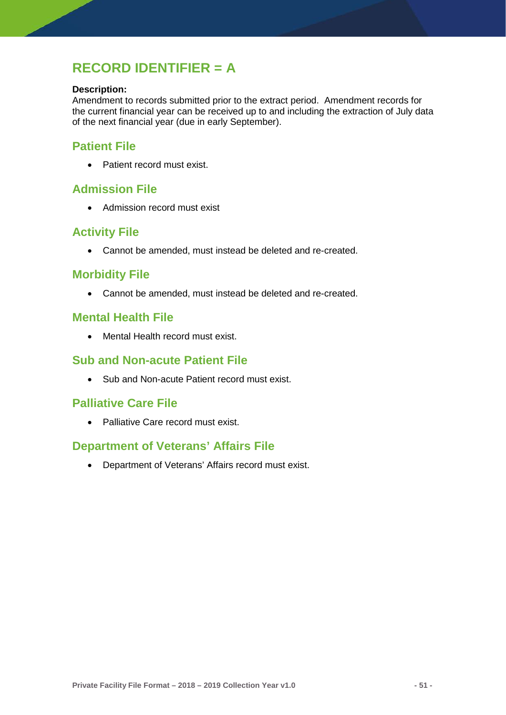# <span id="page-51-0"></span>**RECORD IDENTIFIER = A**

#### **Description:**

Amendment to records submitted prior to the extract period. Amendment records for the current financial year can be received up to and including the extraction of July data of the next financial year (due in early September).

#### <span id="page-51-1"></span>**Patient File**

• Patient record must exist.

#### <span id="page-51-2"></span>**Admission File**

• Admission record must exist

### <span id="page-51-3"></span>**Activity File**

• Cannot be amended, must instead be deleted and re-created.

#### <span id="page-51-4"></span>**Morbidity File**

• Cannot be amended, must instead be deleted and re-created.

#### <span id="page-51-5"></span>**Mental Health File**

• Mental Health record must exist.

### <span id="page-51-6"></span>**Sub and Non-acute Patient File**

• Sub and Non-acute Patient record must exist.

#### <span id="page-51-7"></span>**Palliative Care File**

• Palliative Care record must exist.

### <span id="page-51-8"></span>**Department of Veterans' Affairs File**

• Department of Veterans' Affairs record must exist.